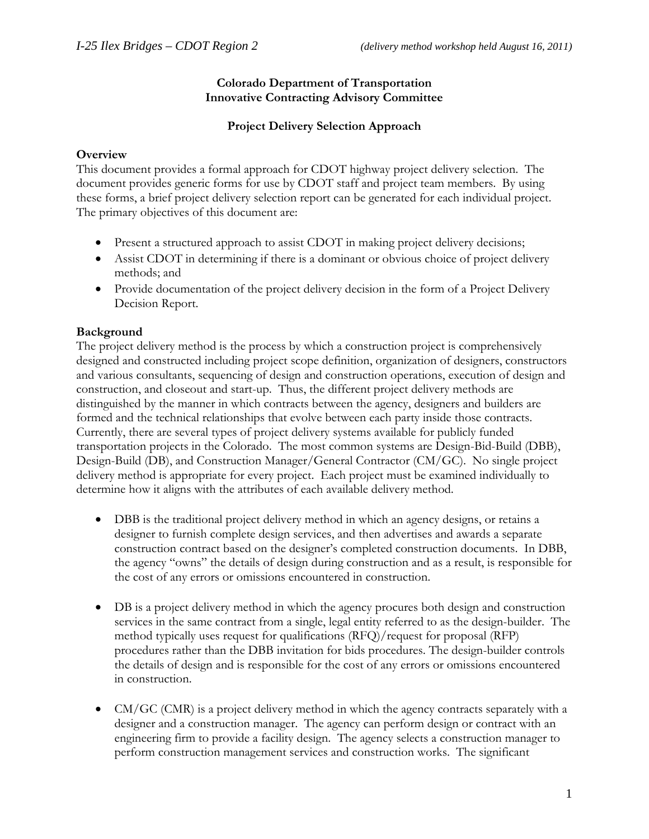### **Colorado Department of Transportation Innovative Contracting Advisory Committee**

## **Project Delivery Selection Approach**

### **Overview**

This document provides a formal approach for CDOT highway project delivery selection. The document provides generic forms for use by CDOT staff and project team members. By using these forms, a brief project delivery selection report can be generated for each individual project. The primary objectives of this document are:

- Present a structured approach to assist CDOT in making project delivery decisions;
- Assist CDOT in determining if there is a dominant or obvious choice of project delivery methods; and
- Provide documentation of the project delivery decision in the form of a Project Delivery Decision Report.

# **Background**

The project delivery method is the process by which a construction project is comprehensively designed and constructed including project scope definition, organization of designers, constructors and various consultants, sequencing of design and construction operations, execution of design and construction, and closeout and start-up. Thus, the different project delivery methods are distinguished by the manner in which contracts between the agency, designers and builders are formed and the technical relationships that evolve between each party inside those contracts. Currently, there are several types of project delivery systems available for publicly funded transportation projects in the Colorado. The most common systems are Design-Bid-Build (DBB), Design-Build (DB), and Construction Manager/General Contractor (CM/GC). No single project delivery method is appropriate for every project. Each project must be examined individually to determine how it aligns with the attributes of each available delivery method.

- DBB is the traditional project delivery method in which an agency designs, or retains a designer to furnish complete design services, and then advertises and awards a separate construction contract based on the designer's completed construction documents. In DBB, the agency "owns" the details of design during construction and as a result, is responsible for the cost of any errors or omissions encountered in construction.
- DB is a project delivery method in which the agency procures both design and construction services in the same contract from a single, legal entity referred to as the design-builder. The method typically uses request for qualifications (RFQ)/request for proposal (RFP) procedures rather than the DBB invitation for bids procedures. The design-builder controls the details of design and is responsible for the cost of any errors or omissions encountered in construction.
- CM/GC (CMR) is a project delivery method in which the agency contracts separately with a designer and a construction manager. The agency can perform design or contract with an engineering firm to provide a facility design. The agency selects a construction manager to perform construction management services and construction works. The significant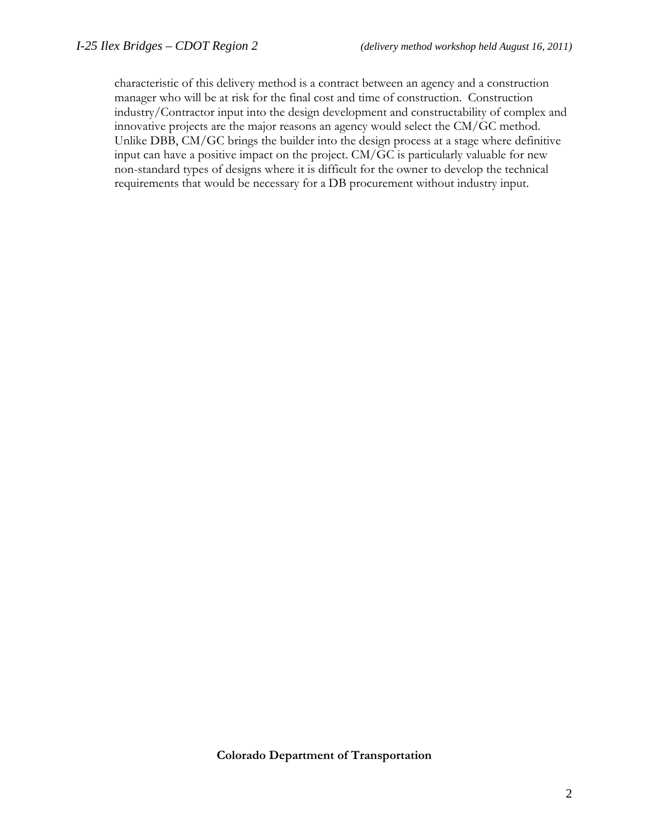characteristic of this delivery method is a contract between an agency and a construction manager who will be at risk for the final cost and time of construction. Construction industry/Contractor input into the design development and constructability of complex and innovative projects are the major reasons an agency would select the CM/GC method. Unlike DBB, CM/GC brings the builder into the design process at a stage where definitive input can have a positive impact on the project. CM/GC is particularly valuable for new non-standard types of designs where it is difficult for the owner to develop the technical requirements that would be necessary for a DB procurement without industry input.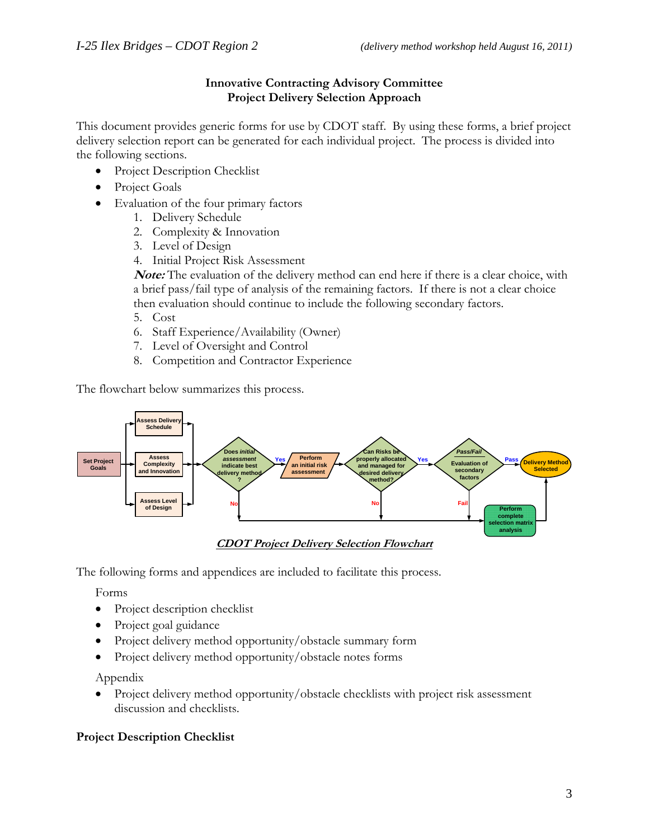### **Innovative Contracting Advisory Committee Project Delivery Selection Approach**

This document provides generic forms for use by CDOT staff. By using these forms, a brief project delivery selection report can be generated for each individual project. The process is divided into the following sections.

- Project Description Checklist
- Project Goals
- Evaluation of the four primary factors
	- 1. Delivery Schedule
	- 2. Complexity & Innovation
	- 3. Level of Design
	- 4. Initial Project Risk Assessment

**Note:** The evaluation of the delivery method can end here if there is a clear choice, with a brief pass/fail type of analysis of the remaining factors. If there is not a clear choice then evaluation should continue to include the following secondary factors.

- 5. Cost
- 6. Staff Experience/Availability (Owner)
- 7. Level of Oversight and Control
- 8. Competition and Contractor Experience

The flowchart below summarizes this process.



**CDOT Project Delivery Selection Flowchart**

The following forms and appendices are included to facilitate this process.

Forms

- Project description checklist
- Project goal guidance
- Project delivery method opportunity/obstacle summary form
- Project delivery method opportunity/obstacle notes forms

Appendix

• Project delivery method opportunity/obstacle checklists with project risk assessment discussion and checklists.

### **Project Description Checklist**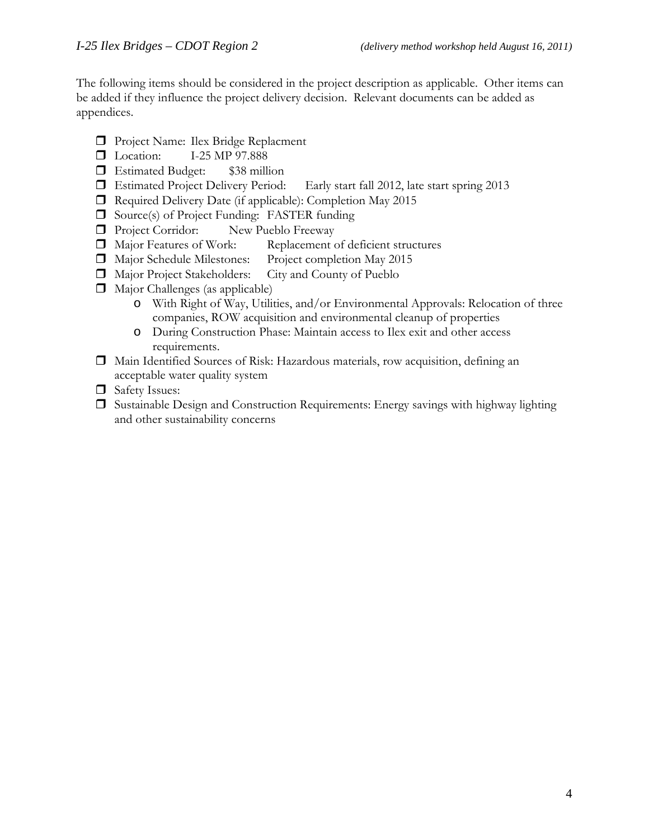The following items should be considered in the project description as applicable. Other items can be added if they influence the project delivery decision. Relevant documents can be added as appendices.

- **Project Name: Ilex Bridge Replacment**
- **L** Location: I-25 MP 97.888
- Estimated Budget: \$38 million
- Estimated Project Delivery Period: Early start fall 2012, late start spring 2013
- Required Delivery Date (if applicable): Completion May 2015
- $\Box$  Source(s) of Project Funding: FASTER funding
- **Project Corridor:** New Pueblo Freeway
- Major Features of Work: Replacement of deficient structures
- Major Schedule Milestones: Project completion May 2015
- Major Project Stakeholders: City and County of Pueblo
- Major Challenges (as applicable)
	- o With Right of Way, Utilities, and/or Environmental Approvals: Relocation of three companies, ROW acquisition and environmental cleanup of properties
	- o During Construction Phase: Maintain access to Ilex exit and other access requirements.
- Main Identified Sources of Risk: Hazardous materials, row acquisition, defining an acceptable water quality system
- Safety Issues:
- $\Box$  Sustainable Design and Construction Requirements: Energy savings with highway lighting and other sustainability concerns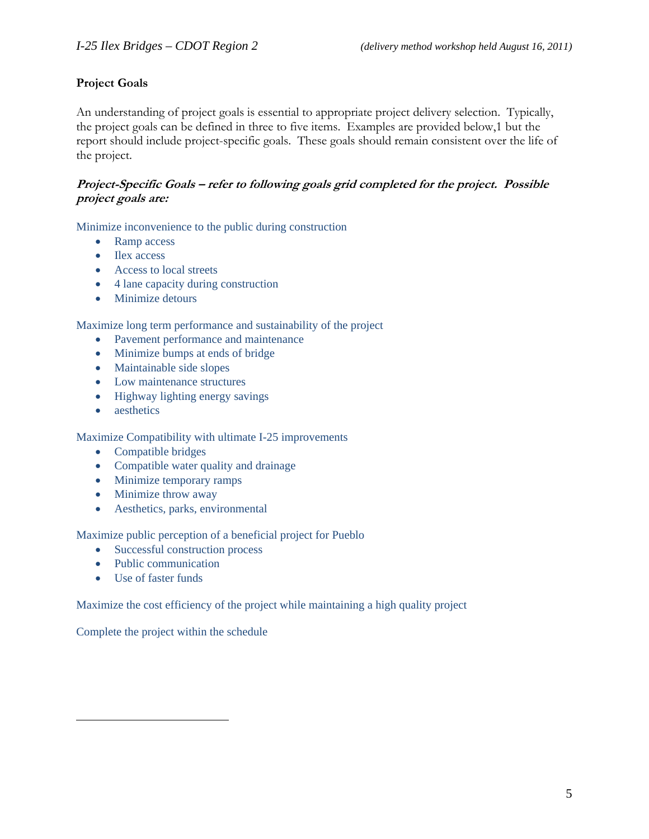## **Project Goals**

An understanding of project goals is essential to appropriate project delivery selection. Typically, the project goals can be defined in three to five items. Examples are provided below,1 but the report should include project-specific goals. These goals should remain consistent over the life of the project.

### **Project-Specific Goals – refer to following goals grid completed for the project. Possible project goals are:**

Minimize inconvenience to the public during construction

- Ramp access
- Ilex access
- Access to local streets
- 4 lane capacity during construction
- Minimize detours

Maximize long term performance and sustainability of the project

- Pavement performance and maintenance
- Minimize bumps at ends of bridge
- Maintainable side slopes
- Low maintenance structures
- Highway lighting energy savings
- aesthetics

Maximize Compatibility with ultimate I-25 improvements

- Compatible bridges
- Compatible water quality and drainage
- Minimize temporary ramps
- Minimize throw away
- Aesthetics, parks, environmental

Maximize public perception of a beneficial project for Pueblo

- Successful construction process
- Public communication
- Use of faster funds

 $\overline{a}$ 

Maximize the cost efficiency of the project while maintaining a high quality project

Complete the project within the schedule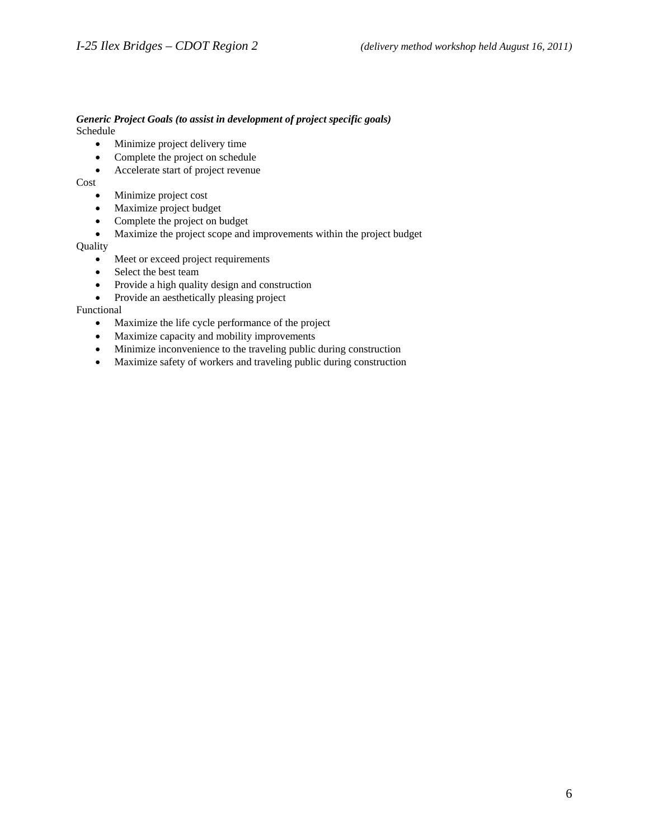# *Generic Project Goals (to assist in development of project specific goals)*

Schedule

- Minimize project delivery time
- Complete the project on schedule
- Accelerate start of project revenue

Cost

- Minimize project cost
- Maximize project budget
- Complete the project on budget
- Maximize the project scope and improvements within the project budget

**Quality** 

- Meet or exceed project requirements
- Select the best team
- Provide a high quality design and construction
- Provide an aesthetically pleasing project

Functional

- Maximize the life cycle performance of the project
- Maximize capacity and mobility improvements
- Minimize inconvenience to the traveling public during construction
- Maximize safety of workers and traveling public during construction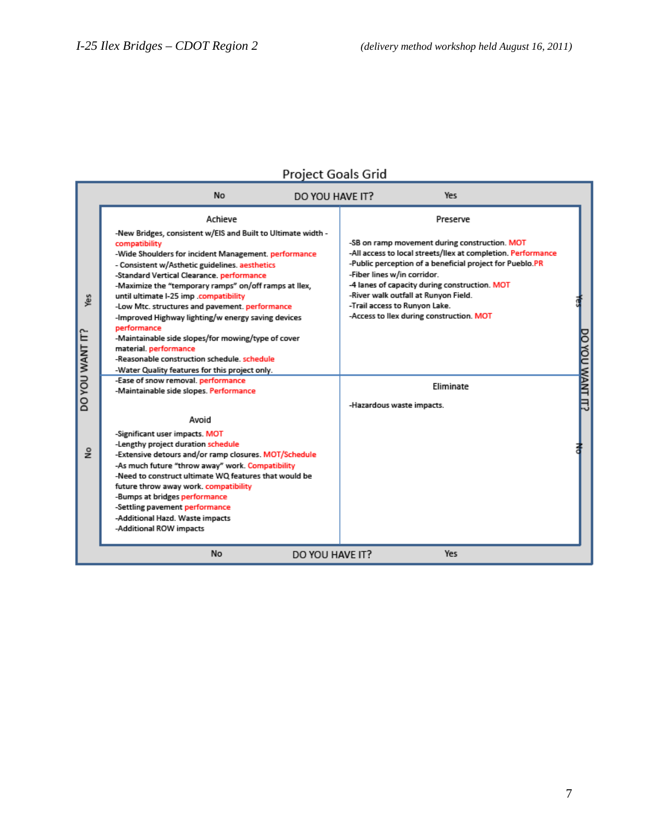# **Project Goals Grid**

|                        | <b>No</b><br>DO YOU HAVE IT?                                                                                                                                                                                                                                                                                                                                                                                                                                                                                                                                                                                                                              | Yes                                                                                                                                                                                                                                                                                                                                                                                        |                 |
|------------------------|-----------------------------------------------------------------------------------------------------------------------------------------------------------------------------------------------------------------------------------------------------------------------------------------------------------------------------------------------------------------------------------------------------------------------------------------------------------------------------------------------------------------------------------------------------------------------------------------------------------------------------------------------------------|--------------------------------------------------------------------------------------------------------------------------------------------------------------------------------------------------------------------------------------------------------------------------------------------------------------------------------------------------------------------------------------------|-----------------|
| Yes<br>DO YOU WANT IT? | Achieve<br>-New Bridges, consistent w/EIS and Built to Ultimate width -<br>compatibility<br>-Wide Shoulders for incident Management. performance<br>- Consistent w/Asthetic guidelines. aesthetics<br>-Standard Vertical Clearance. performance<br>-Maximize the "temporary ramps" on/off ramps at llex,<br>until ultimate I-25 imp .compatibility<br>-Low Mtc. structures and pavement. performance<br>-Improved Highway lighting/w energy saving devices<br>performance<br>-Maintainable side slopes/for mowing/type of cover<br>material. performance<br>-Reasonable construction schedule, schedule<br>-Water Quality features for this project only. | Preserve<br>-SB on ramp movement during construction. MOT<br>-All access to local streets/llex at completion. Performance<br>-Public perception of a beneficial project for Pueblo.PR<br>-Fiber lines w/in corridor.<br>-4 lanes of capacity during construction. MOT<br>-River walk outfall at Runyon Field.<br>-Trail access to Runyon Lake.<br>-Access to llex during construction. MOT |                 |
|                        | -Ease of snow removal. performance<br>-Maintainable side slopes. Performance<br>Avoid                                                                                                                                                                                                                                                                                                                                                                                                                                                                                                                                                                     | Eliminate<br>-Hazardous waste impacts.                                                                                                                                                                                                                                                                                                                                                     | DO YOU WANT IT? |
| $\frac{1}{2}$          | -Significant user impacts. MOT<br>-Lengthy project duration schedule<br>-Extensive detours and/or ramp closures. MOT/Schedule<br>-As much future "throw away" work. Compatibility<br>-Need to construct ultimate WQ features that would be<br>future throw away work. compatibility<br>-Bumps at bridges performance<br>-Settling pavement performance<br>-Additional Hazd. Waste impacts<br>-Additional ROW impacts                                                                                                                                                                                                                                      |                                                                                                                                                                                                                                                                                                                                                                                            |                 |
|                        | No<br>DO YOU HAVE IT?                                                                                                                                                                                                                                                                                                                                                                                                                                                                                                                                                                                                                                     | Yes                                                                                                                                                                                                                                                                                                                                                                                        |                 |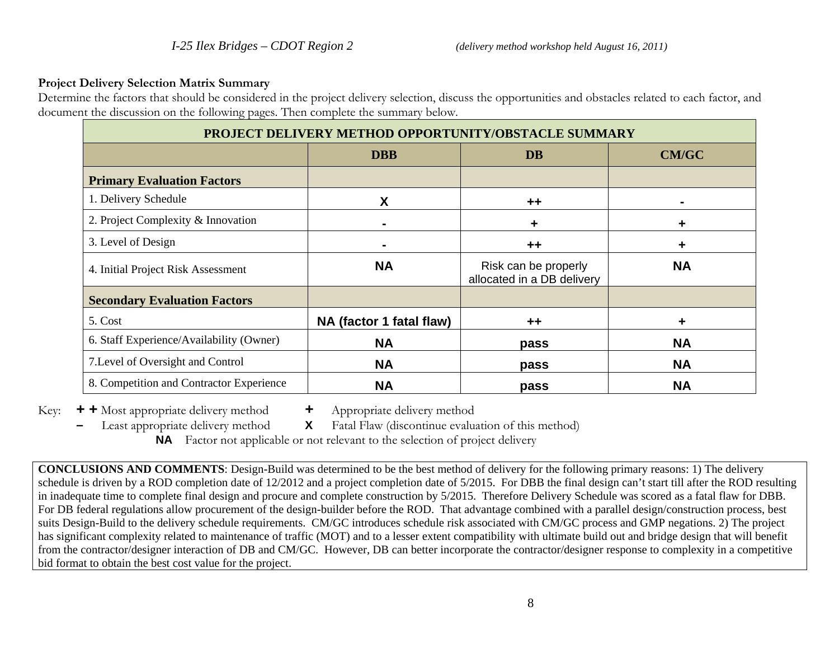### **Project Delivery Selection Matrix Summary**

Determine the factors that should be considered in the project delivery selection, discuss the opportunities and obstacles related to each factor, and document the discussion on the following pages. Then complete the summary below.

| PROJECT DELIVERY METHOD OPPORTUNITY/OBSTACLE SUMMARY |                          |                                                    |                |  |
|------------------------------------------------------|--------------------------|----------------------------------------------------|----------------|--|
|                                                      | <b>DBB</b>               | <b>DB</b>                                          | <b>CM/GC</b>   |  |
| <b>Primary Evaluation Factors</b>                    |                          |                                                    |                |  |
| 1. Delivery Schedule                                 | χ                        | ++                                                 | $\blacksquare$ |  |
| 2. Project Complexity & Innovation                   |                          | ٠                                                  | ÷              |  |
| 3. Level of Design                                   | $\blacksquare$           | $+ +$                                              | ٠              |  |
| 4. Initial Project Risk Assessment                   | <b>NA</b>                | Risk can be properly<br>allocated in a DB delivery | <b>NA</b>      |  |
| <b>Secondary Evaluation Factors</b>                  |                          |                                                    |                |  |
| 5. Cost                                              | NA (factor 1 fatal flaw) | ++                                                 | ٠              |  |
| 6. Staff Experience/Availability (Owner)             | <b>NA</b>                | pass                                               | <b>NA</b>      |  |
| 7. Level of Oversight and Control                    | <b>NA</b>                | pass                                               | <b>NA</b>      |  |
| 8. Competition and Contractor Experience             | <b>NA</b>                | pass                                               | <b>NA</b>      |  |

Key: **+ +** Most appropriate delivery method **<sup>+</sup>**Appropriate delivery method

**–** Least appropriate delivery method **X** Fatal Flaw (discontinue evaluation of this method)

**NA** Factor not applicable or not relevant to the selection of project delivery

**CONCLUSIONS AND COMMENTS**: Design-Build was determined to be the best method of delivery for the following primary reasons: 1) The delivery schedule is driven by a ROD completion date of 12/2012 and a project completion date of 5/2015. For DBB the final design can't start till after the ROD resulting in inadequate time to complete final design and procure and complete construction by 5/2015. Therefore Delivery Schedule was scored as a fatal flaw for DBB. For DB federal regulations allow procurement of the design-builder before the ROD. That advantage combined with a parallel design/construction process, best suits Design-Build to the delivery schedule requirements. CM/GC introduces schedule risk associated with CM/GC process and GMP negations. 2) The project has significant complexity related to maintenance of traffic (MOT) and to a lesser extent compatibility with ultimate build out and bridge design that will benefit from the contractor/designer interaction of DB and CM/GC. However, DB can better incorporate the contractor/designer response to complexity in a competitive bid format to obtain the best cost value for the project.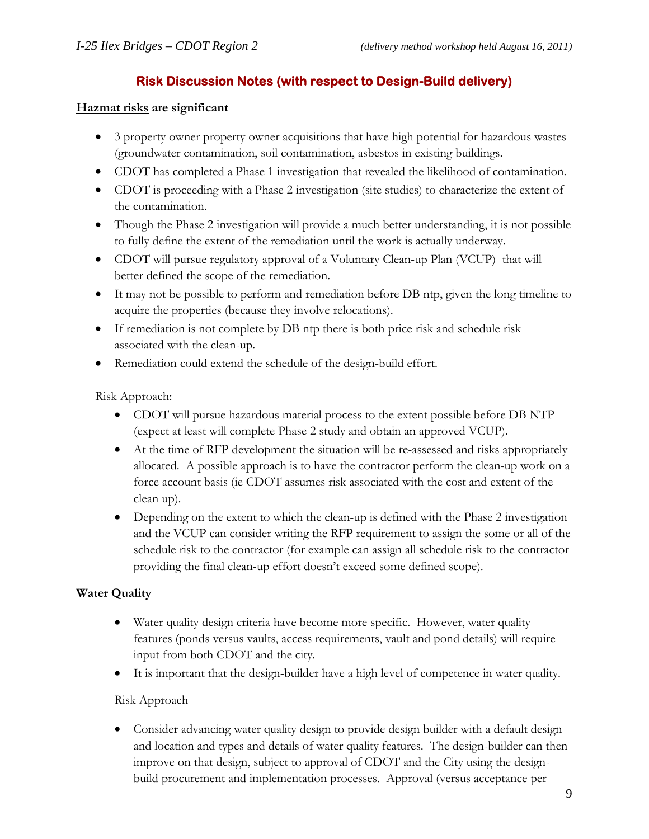# **Risk Discussion Notes (with respect to Design-Build delivery)**

### **Hazmat risks are significant**

- 3 property owner property owner acquisitions that have high potential for hazardous wastes (groundwater contamination, soil contamination, asbestos in existing buildings.
- CDOT has completed a Phase 1 investigation that revealed the likelihood of contamination.
- CDOT is proceeding with a Phase 2 investigation (site studies) to characterize the extent of the contamination.
- Though the Phase 2 investigation will provide a much better understanding, it is not possible to fully define the extent of the remediation until the work is actually underway.
- CDOT will pursue regulatory approval of a Voluntary Clean-up Plan (VCUP) that will better defined the scope of the remediation.
- It may not be possible to perform and remediation before DB ntp, given the long timeline to acquire the properties (because they involve relocations).
- If remediation is not complete by DB ntp there is both price risk and schedule risk associated with the clean-up.
- Remediation could extend the schedule of the design-build effort.

Risk Approach:

- CDOT will pursue hazardous material process to the extent possible before DB NTP (expect at least will complete Phase 2 study and obtain an approved VCUP).
- At the time of RFP development the situation will be re-assessed and risks appropriately allocated. A possible approach is to have the contractor perform the clean-up work on a force account basis (ie CDOT assumes risk associated with the cost and extent of the clean up).
- Depending on the extent to which the clean-up is defined with the Phase 2 investigation and the VCUP can consider writing the RFP requirement to assign the some or all of the schedule risk to the contractor (for example can assign all schedule risk to the contractor providing the final clean-up effort doesn't exceed some defined scope).

# **Water Quality**

- Water quality design criteria have become more specific. However, water quality features (ponds versus vaults, access requirements, vault and pond details) will require input from both CDOT and the city.
- It is important that the design-builder have a high level of competence in water quality.

# Risk Approach

• Consider advancing water quality design to provide design builder with a default design and location and types and details of water quality features. The design-builder can then improve on that design, subject to approval of CDOT and the City using the designbuild procurement and implementation processes. Approval (versus acceptance per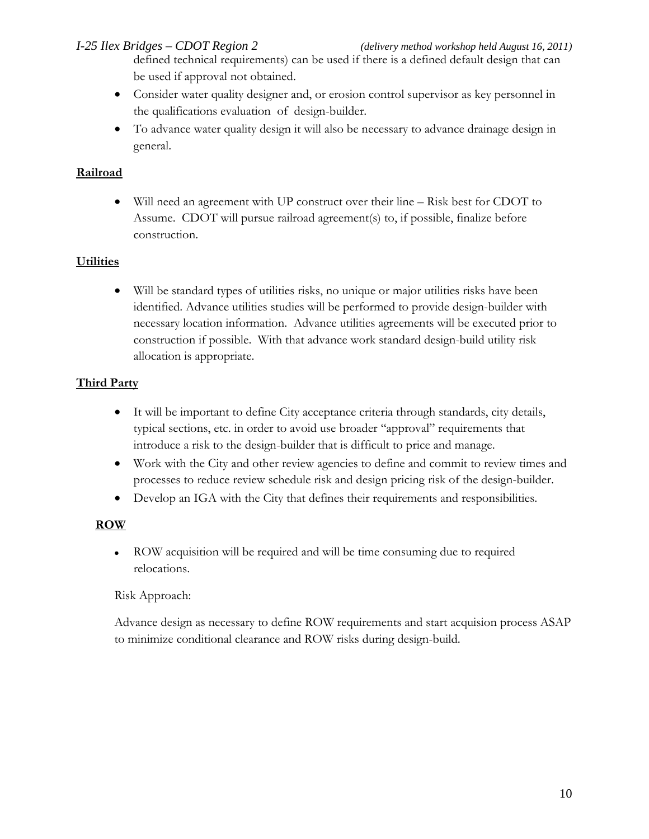defined technical requirements) can be used if there is a defined default design that can be used if approval not obtained.

- Consider water quality designer and, or erosion control supervisor as key personnel in the qualifications evaluation of design-builder.
- To advance water quality design it will also be necessary to advance drainage design in general.

# **Railroad**

• Will need an agreement with UP construct over their line – Risk best for CDOT to Assume. CDOT will pursue railroad agreement(s) to, if possible, finalize before construction.

# **Utilities**

• Will be standard types of utilities risks, no unique or major utilities risks have been identified. Advance utilities studies will be performed to provide design-builder with necessary location information. Advance utilities agreements will be executed prior to construction if possible. With that advance work standard design-build utility risk allocation is appropriate.

# **Third Party**

- It will be important to define City acceptance criteria through standards, city details, typical sections, etc. in order to avoid use broader "approval" requirements that introduce a risk to the design-builder that is difficult to price and manage.
- Work with the City and other review agencies to define and commit to review times and processes to reduce review schedule risk and design pricing risk of the design-builder.
- Develop an IGA with the City that defines their requirements and responsibilities.

### **ROW**

• ROW acquisition will be required and will be time consuming due to required relocations.

### Risk Approach:

Advance design as necessary to define ROW requirements and start acquision process ASAP to minimize conditional clearance and ROW risks during design-build.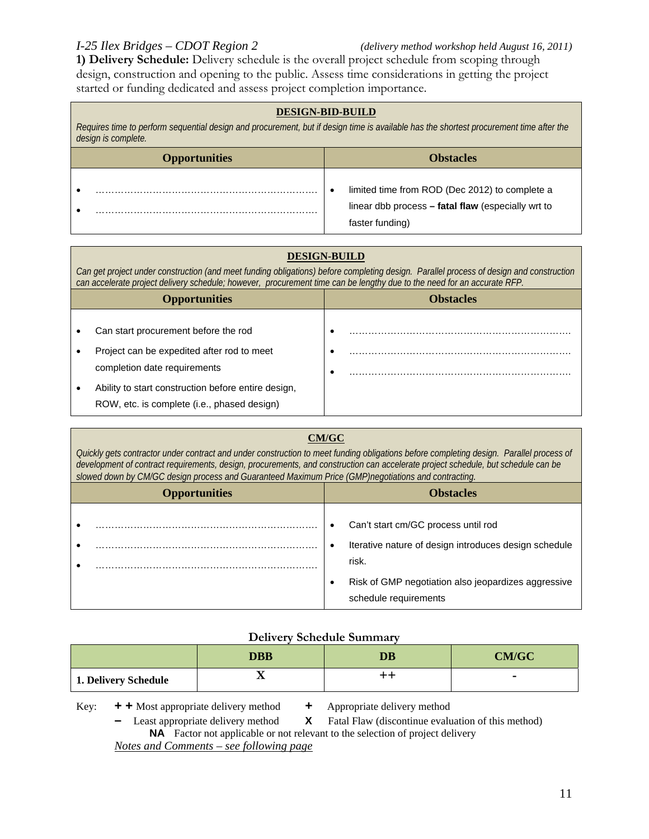**1) Delivery Schedule:** Delivery schedule is the overall project schedule from scoping through design, construction and opening to the public. Assess time considerations in getting the project started or funding dedicated and assess project completion importance.

### **DESIGN-BID-BUILD**

*Requires time to perform sequential design and procurement, but if design time is available has the shortest procurement time after the design is complete.*

| <b>Opportunities</b> | <b>Obstacles</b>                                                                                                        |
|----------------------|-------------------------------------------------------------------------------------------------------------------------|
|                      | limited time from ROD (Dec 2012) to complete a<br>linear dbb process – fatal flaw (especially wrt to<br>faster funding) |

### **DESIGN-BUILD**

*Can get project under construction (and meet funding obligations) before completing design. Parallel process of design and construction can accelerate project delivery schedule; however, procurement time can be lengthy due to the need for an accurate RFP.* 

| <b>Opportunities</b>                                | <b>Obstacles</b> |
|-----------------------------------------------------|------------------|
|                                                     |                  |
| Can start procurement before the rod                |                  |
| Project can be expedited after rod to meet          |                  |
| completion date requirements                        |                  |
| Ability to start construction before entire design, |                  |
| ROW, etc. is complete (i.e., phased design)         |                  |

### **CM/GC**

*Quickly gets contractor under contract and under construction to meet funding obligations before completing design. Parallel process of development of contract requirements, design, procurements, and construction can accelerate project schedule, but schedule can be slowed down by CM/GC design process and Guaranteed Maximum Price (GMP)negotiations and contracting.* 

| <b>Opportunities</b> | <b>Obstacles</b>                                                                                                                                                                      |
|----------------------|---------------------------------------------------------------------------------------------------------------------------------------------------------------------------------------|
|                      | Can't start cm/GC process until rod<br>Iterative nature of design introduces design schedule<br>risk.<br>Risk of GMP negotiation also jeopardizes aggressive<br>schedule requirements |

### **Delivery Schedule Summary**

|                      | <b>DBB</b> | DB | <b>CM/GC</b> |
|----------------------|------------|----|--------------|
| 1. Delivery Schedule | ᅭ          | ++ |              |

Key: **+ +** Most appropriate delivery method **+** Appropriate delivery method

**–** Least appropriate delivery method **X** Fatal Flaw (discontinue evaluation of this method) **NA** Factor not applicable or not relevant to the selection of project delivery

*Notes and Comments – see following page*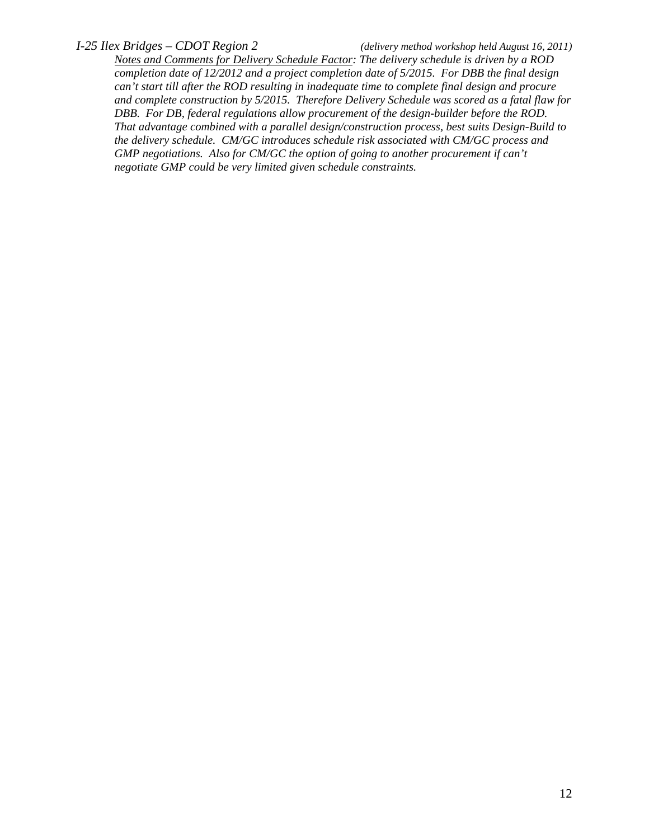*Notes and Comments for Delivery Schedule Factor: The delivery schedule is driven by a ROD completion date of 12/2012 and a project completion date of 5/2015. For DBB the final design can't start till after the ROD resulting in inadequate time to complete final design and procure and complete construction by 5/2015. Therefore Delivery Schedule was scored as a fatal flaw for DBB. For DB, federal regulations allow procurement of the design-builder before the ROD. That advantage combined with a parallel design/construction process, best suits Design-Build to the delivery schedule. CM/GC introduces schedule risk associated with CM/GC process and GMP negotiations. Also for CM/GC the option of going to another procurement if can't negotiate GMP could be very limited given schedule constraints.*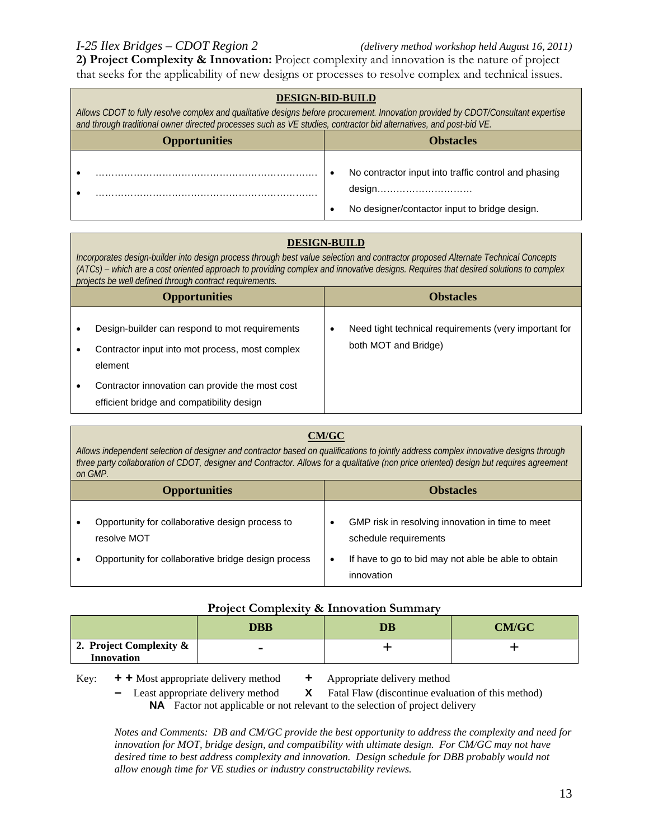**2) Project Complexity & Innovation:** Project complexity and innovation is the nature of project that seeks for the applicability of new designs or processes to resolve complex and technical issues.

| <b>DESIGN-BID-BUILD</b>                                                                                                                                                                                                                                 |                                                                                                                                                                                  |  |  |  |
|---------------------------------------------------------------------------------------------------------------------------------------------------------------------------------------------------------------------------------------------------------|----------------------------------------------------------------------------------------------------------------------------------------------------------------------------------|--|--|--|
| Allows CDOT to fully resolve complex and qualitative designs before procurement. Innovation provided by CDOT/Consultant expertise<br>and through traditional owner directed processes such as VE studies, contractor bid alternatives, and post-bid VE. |                                                                                                                                                                                  |  |  |  |
| <b>Opportunities</b><br><b>Obstacles</b>                                                                                                                                                                                                                |                                                                                                                                                                                  |  |  |  |
|                                                                                                                                                                                                                                                         | No contractor input into traffic control and phasing<br>$desian \ldots \ldots \ldots \ldots \ldots \ldots \ldots \ldots \ldots$<br>No designer/contactor input to bridge design. |  |  |  |

### **DESIGN-BUILD**

*Incorporates design-builder into design process through best value selection and contractor proposed Alternate Technical Concepts (ATCs) – which are a cost oriented approach to providing complex and innovative designs. Requires that desired solutions to complex projects be well defined through contract requirements.*

| <b>Opportunities</b>                                                                                         | <b>Obstacles</b>                                                                   |
|--------------------------------------------------------------------------------------------------------------|------------------------------------------------------------------------------------|
| Design-builder can respond to mot requirements<br>Contractor input into mot process, most complex<br>element | Need tight technical requirements (very important for<br>٠<br>both MOT and Bridge) |
| Contractor innovation can provide the most cost<br>efficient bridge and compatibility design                 |                                                                                    |

### **CM/GC**

*Allows independent selection of designer and contractor based on qualifications to jointly address complex innovative designs through three party collaboration of CDOT, designer and Contractor. Allows for a qualitative (non price oriented) design but requires agreement on GMP.*

| <b>Opportunities</b>                                           | <b>Obstacles</b>                                                          |
|----------------------------------------------------------------|---------------------------------------------------------------------------|
| Opportunity for collaborative design process to<br>resolve MOT | GMP risk in resolving innovation in time to meet<br>schedule requirements |
| Opportunity for collaborative bridge design process            | If have to go to bid may not able be able to obtain<br>innovation         |

### **Project Complexity & Innovation Summary**

|                                              | <b>DBB</b>     | DB | <b>CM/GC</b> |
|----------------------------------------------|----------------|----|--------------|
| 2. Project Complexity &<br><b>Innovation</b> | $\blacksquare$ |    |              |

Key: **+ +** Most appropriate delivery method **+** Appropriate delivery method

**–** Least appropriate delivery method **X** Fatal Flaw (discontinue evaluation of this method)

**NA** Factor not applicable or not relevant to the selection of project delivery

*Notes and Comments: DB and CM/GC provide the best opportunity to address the complexity and need for innovation for MOT, bridge design, and compatibility with ultimate design. For CM/GC may not have desired time to best address complexity and innovation. Design schedule for DBB probably would not allow enough time for VE studies or industry constructability reviews.*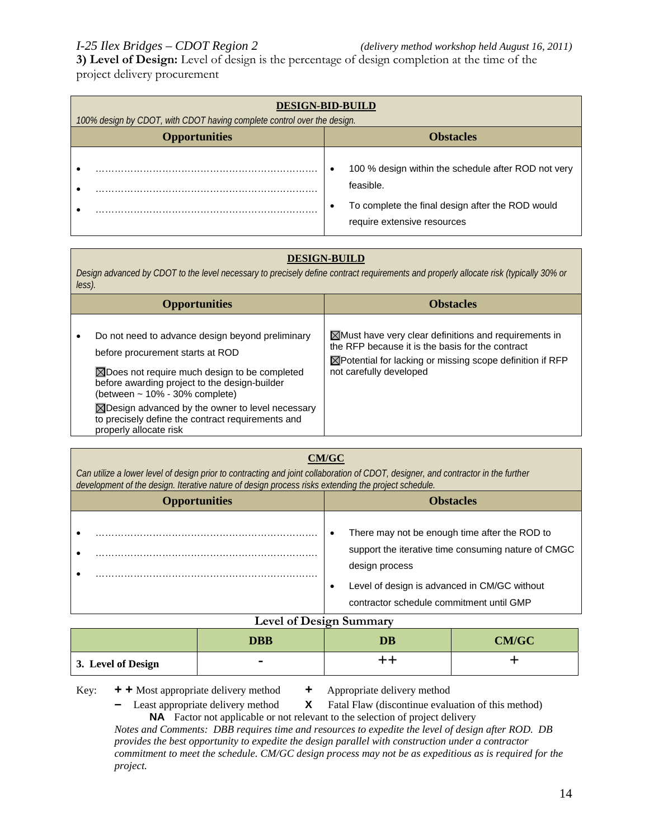**3) Level of Design:** Level of design is the percentage of design completion at the time of the project delivery procurement

| <b>DESIGN-BID-BUILD</b><br>100% design by CDOT, with CDOT having complete control over the design. |                                                                                                                                                     |  |  |
|----------------------------------------------------------------------------------------------------|-----------------------------------------------------------------------------------------------------------------------------------------------------|--|--|
| <b>Opportunities</b>                                                                               | <b>Obstacles</b>                                                                                                                                    |  |  |
|                                                                                                    | 100 % design within the schedule after ROD not very<br>feasible.<br>To complete the final design after the ROD would<br>require extensive resources |  |  |

### **DESIGN-BUILD**

*Design advanced by CDOT to the level necessary to precisely define contract requirements and properly allocate risk (typically 30% or less).*

| $\boxtimes$ Must have very clear definitions and requirements in<br>Do not need to advance design beyond preliminary<br>the RFP because it is the basis for the contract<br>before procurement starts at ROD<br>$\boxtimes$ Potential for lacking or missing scope definition if RFP<br>not carefully developed<br>$\boxtimes$ Does not require much design to be completed<br>before awarding project to the design-builder<br>(between ~ 10% - 30% complete)<br>$\boxtimes$ Design advanced by the owner to level necessary<br>to precisely define the contract requirements and<br>properly allocate risk | <b>Opportunities</b> | <b>Obstacles</b> |
|--------------------------------------------------------------------------------------------------------------------------------------------------------------------------------------------------------------------------------------------------------------------------------------------------------------------------------------------------------------------------------------------------------------------------------------------------------------------------------------------------------------------------------------------------------------------------------------------------------------|----------------------|------------------|
|                                                                                                                                                                                                                                                                                                                                                                                                                                                                                                                                                                                                              |                      |                  |

| development of the design. Iterative nature of design process risks extending the project schedule.                                                                                                                |  |
|--------------------------------------------------------------------------------------------------------------------------------------------------------------------------------------------------------------------|--|
| <b>Opportunities</b><br><b>Obstacles</b>                                                                                                                                                                           |  |
| There may not be enough time after the ROD to<br>support the iterative time consuming nature of CMGC<br>design process<br>Level of design is advanced in CM/GC without<br>contractor schedule commitment until GMP |  |

| <b>Level of Design Summary</b> |            |    |       |
|--------------------------------|------------|----|-------|
|                                | <b>DBB</b> | DB | CM/GC |
| 3. Level of Design             | -          |    |       |

Key: **+ +** Most appropriate delivery method **+** Appropriate delivery method

**–** Least appropriate delivery method **X** Fatal Flaw (discontinue evaluation of this method) **NA** Factor not applicable or not relevant to the selection of project delivery

*Notes and Comments: DBB requires time and resources to expedite the level of design after ROD. DB provides the best opportunity to expedite the design parallel with construction under a contractor commitment to meet the schedule. CM/GC design process may not be as expeditious as is required for the project.*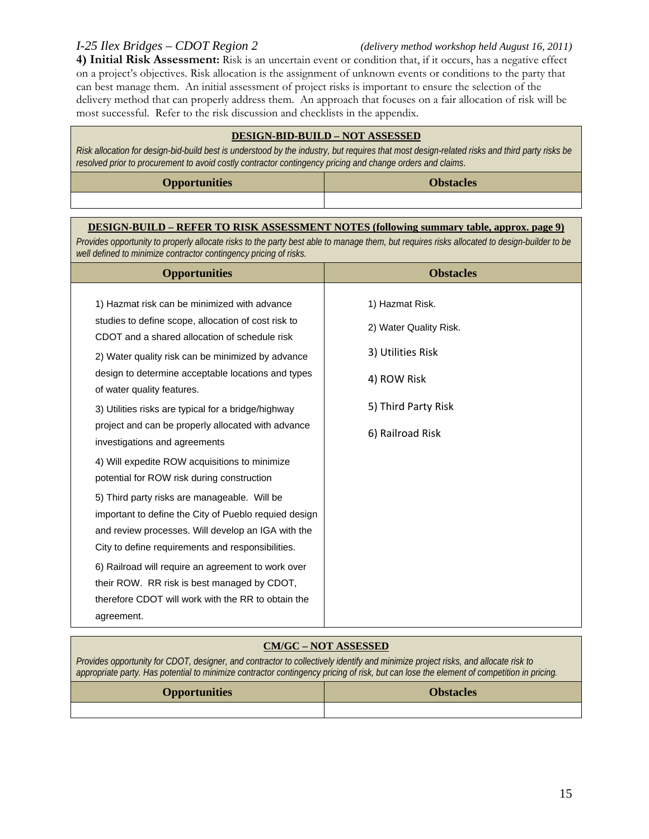**4) Initial Risk Assessment:** Risk is an uncertain event or condition that, if it occurs, has a negative effect on a project's objectives. Risk allocation is the assignment of unknown events or conditions to the party that can best manage them. An initial assessment of project risks is important to ensure the selection of the delivery method that can properly address them. An approach that focuses on a fair allocation of risk will be most successful. Refer to the risk discussion and checklists in the appendix.

### **DESIGN-BID-BUILD – NOT ASSESSED**

*Risk allocation for design-bid-build best is understood by the industry, but requires that most design-related risks and third party risks be resolved prior to procurement to avoid costly contractor contingency pricing and change orders and claims.*

| <b>Opportunities</b> | <b>Obstacles</b> |
|----------------------|------------------|
|                      |                  |

### **DESIGN-BUILD – REFER TO RISK ASSESSMENT NOTES (following summary table, approx. page 9)**

*Provides opportunity to properly allocate risks to the party best able to manage them, but requires risks allocated to design-builder to be well defined to minimize contractor contingency pricing of risks.*

| <b>Opportunities</b>                                                                                                                                                                                                                                                                          | <b>Obstacles</b>                                                              |
|-----------------------------------------------------------------------------------------------------------------------------------------------------------------------------------------------------------------------------------------------------------------------------------------------|-------------------------------------------------------------------------------|
| 1) Hazmat risk can be minimized with advance<br>studies to define scope, allocation of cost risk to<br>CDOT and a shared allocation of schedule risk<br>2) Water quality risk can be minimized by advance<br>design to determine acceptable locations and types<br>of water quality features. | 1) Hazmat Risk.<br>2) Water Quality Risk.<br>3) Utilities Risk<br>4) ROW Risk |
| 3) Utilities risks are typical for a bridge/highway<br>project and can be properly allocated with advance<br>investigations and agreements<br>4) Will expedite ROW acquisitions to minimize                                                                                                   | 5) Third Party Risk<br>6) Railroad Risk                                       |
| potential for ROW risk during construction                                                                                                                                                                                                                                                    |                                                                               |
| 5) Third party risks are manageable. Will be<br>important to define the City of Pueblo requied design<br>and review processes. Will develop an IGA with the<br>City to define requirements and responsibilities.                                                                              |                                                                               |
| 6) Railroad will require an agreement to work over<br>their ROW. RR risk is best managed by CDOT,<br>therefore CDOT will work with the RR to obtain the<br>agreement.                                                                                                                         |                                                                               |

### **CM/GC – NOT ASSESSED**

*Provides opportunity for CDOT, designer, and contractor to collectively identify and minimize project risks, and allocate risk to appropriate party. Has potential to minimize contractor contingency pricing of risk, but can lose the element of competition in pricing.*

| <b>Opportunities</b> | <b>Obstacles</b> |
|----------------------|------------------|
|                      |                  |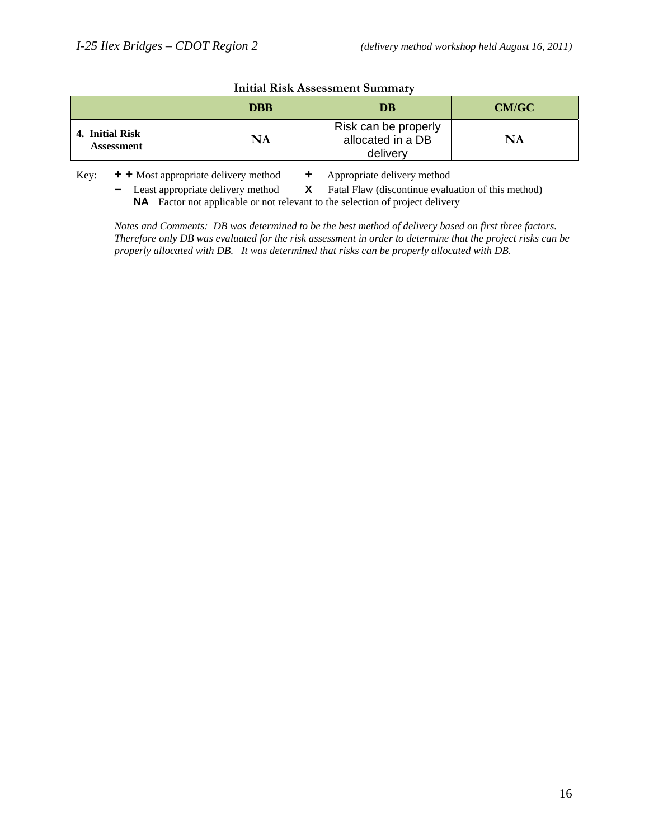|                                      | <b>DBB</b> | DB                                                    | CM/GC |
|--------------------------------------|------------|-------------------------------------------------------|-------|
| 4. Initial Risk<br><b>Assessment</b> | NA         | Risk can be properly<br>allocated in a DB<br>delivery | NA    |

### **Initial Risk Assessment Summary**

Key: **+ +** Most appropriate delivery method **+** Appropriate delivery method

**–** Least appropriate delivery method **X** Fatal Flaw (discontinue evaluation of this method) **NA** Factor not applicable or not relevant to the selection of project delivery

*Notes and Comments: DB was determined to be the best method of delivery based on first three factors. Therefore only DB was evaluated for the risk assessment in order to determine that the project risks can be properly allocated with DB. It was determined that risks can be properly allocated with DB.*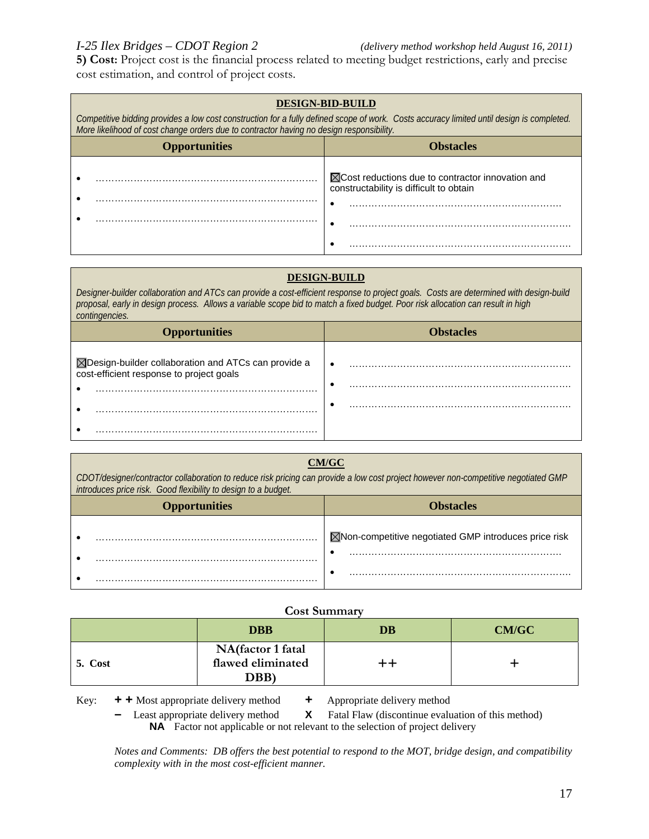**5) Cost:** Project cost is the financial process related to meeting budget restrictions, early and precise cost estimation, and control of project costs.

### **DESIGN-BID-BUILD** *Competitive bidding provides a low cost construction for a fully defined scope of work. Costs accuracy limited until design is completed. More likelihood of cost change orders due to contractor having no design responsibility.* **Opportunities Constanting Constanting Constanting Constanting Constanting Constanting Constanting Constanting Constanting Constanting Constanting Constanting Constanting Constanting Constanting Constanting Constanting Con** • ……………………………………………………………. • ……………………………………………………………. ■ △ Cost reductions due to contractor innovation and constructability is difficult to obtain • …………………………………………………………. • ……………………………………………………………. • …………………………………………………………….

### **DESIGN-BUILD**

*Designer-builder collaboration and ATCs can provide a cost-efficient response to project goals. Costs are determined with design-build proposal, early in design process. Allows a variable scope bid to match a fixed budget. Poor risk allocation can result in high contingencies.*

| <b>Opportunities</b>                                                                             | <b>Obstacles</b> |
|--------------------------------------------------------------------------------------------------|------------------|
| ⊠Design-builder collaboration and ATCs can provide a<br>cost-efficient response to project goals | ٠<br>٠           |
|                                                                                                  | ٠                |

### **CM/GC**

*CDOT/designer/contractor collaboration to reduce risk pricing can provide a low cost project however non-competitive negotiated GMP introduces price risk. Good flexibility to design to a budget.*

| <b>Opportunities</b> | <b>Obstacles</b>                                      |  |
|----------------------|-------------------------------------------------------|--|
|                      | ⊠Non-competitive negotiated GMP introduces price risk |  |
|                      |                                                       |  |

### **Cost Summary**

|         | <b>DBB</b>                                     | DB | <b>CM/GC</b> |
|---------|------------------------------------------------|----|--------------|
| 5. Cost | NA(factor 1 fatal<br>flawed eliminated<br>DBB) | ++ |              |

Key: **+ +** Most appropriate delivery method **+** Appropriate delivery method

**–** Least appropriate delivery method **X** Fatal Flaw (discontinue evaluation of this method) **NA** Factor not applicable or not relevant to the selection of project delivery

*Notes and Comments: DB offers the best potential to respond to the MOT, bridge design, and compatibility complexity with in the most cost-efficient manner.*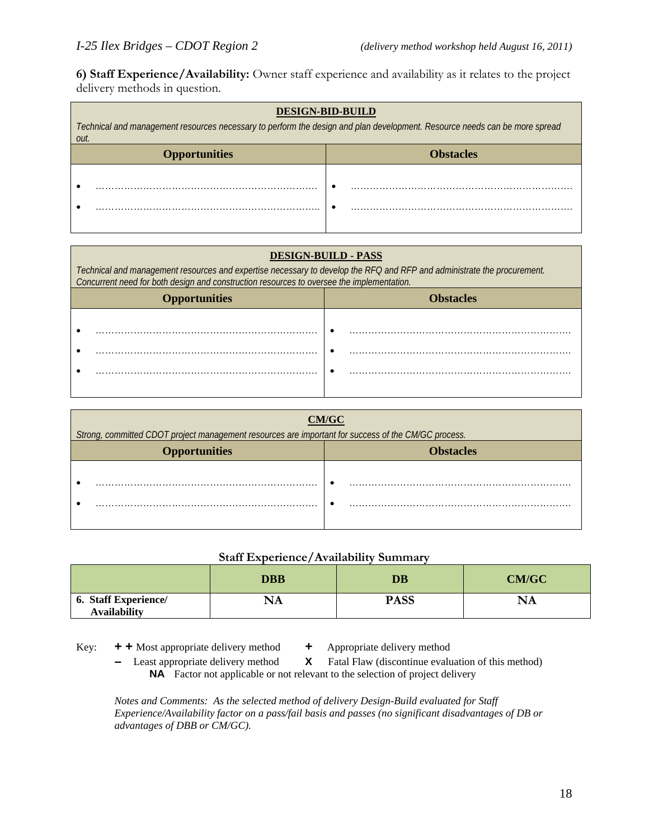**6) Staff Experience/Availability:** Owner staff experience and availability as it relates to the project delivery methods in question.

| <b>DESIGN-BID-BUILD</b><br>Technical and management resources necessary to perform the design and plan development. Resource needs can be more spread<br>out. |  |  |
|---------------------------------------------------------------------------------------------------------------------------------------------------------------|--|--|
| <b>Opportunities</b><br><b>Obstacles</b>                                                                                                                      |  |  |
|                                                                                                                                                               |  |  |

| <b>DESIGN-BUILD - PASS</b>                                                                                                                                                                                           |  |  |
|----------------------------------------------------------------------------------------------------------------------------------------------------------------------------------------------------------------------|--|--|
| Technical and management resources and expertise necessary to develop the RFQ and RFP and administrate the procurement.<br>Concurrent need for both design and construction resources to oversee the implementation. |  |  |
| <b>Obstacles</b><br><b>Opportunities</b>                                                                                                                                                                             |  |  |
|                                                                                                                                                                                                                      |  |  |

| CM/GC                                                                                               |  |
|-----------------------------------------------------------------------------------------------------|--|
| Strong, committed CDOT project management resources are important for success of the CM/GC process. |  |
| <b>Obstacles</b><br><b>Opportunities</b>                                                            |  |
|                                                                                                     |  |
|                                                                                                     |  |
|                                                                                                     |  |
|                                                                                                     |  |

### **Staff Experience/Availability Summary**

|                                                    | <b>DBB</b>    | DB          | <b>CM/GC</b> |
|----------------------------------------------------|---------------|-------------|--------------|
| <b>6. Staff Experience/</b><br><b>Availability</b> | $\mathbf{NA}$ | <b>PASS</b> | NA           |

Key: **+ +** Most appropriate delivery method **+** Appropriate delivery method

- 
- Least appropriate delivery method **X** Fatal Flaw (discontinue evaluation of this method) **NA** Factor not applicable or not relevant to the selection of project delivery

*Notes and Comments: As the selected method of delivery Design-Build evaluated for Staff Experience/Availability factor on a pass/fail basis and passes (no significant disadvantages of DB or advantages of DBB or CM/GC).*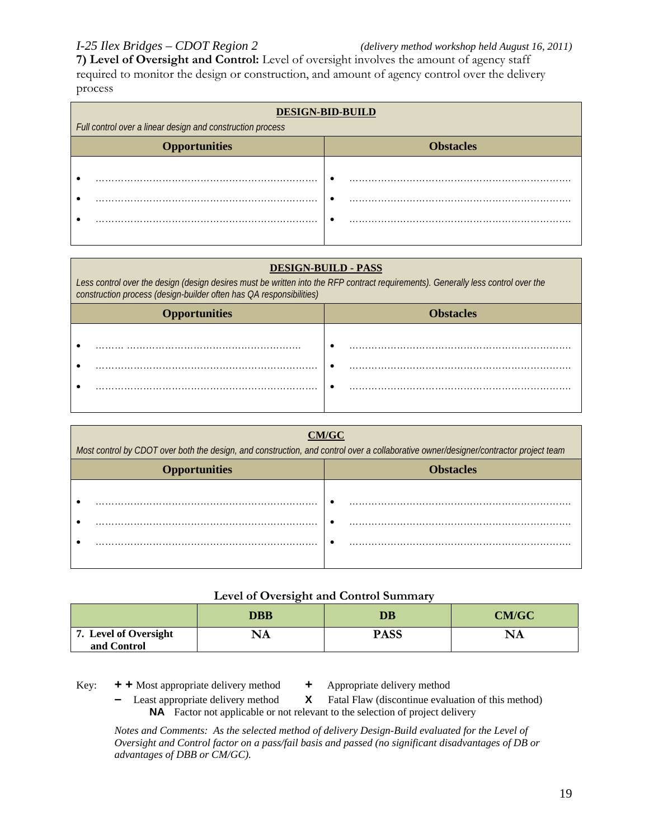**7) Level of Oversight and Control:** Level of oversight involves the amount of agency staff required to monitor the design or construction, and amount of agency control over the delivery process

| <b>DESIGN-BID-BUILD</b><br>Full control over a linear design and construction process |                  |  |
|---------------------------------------------------------------------------------------|------------------|--|
| <b>Opportunities</b>                                                                  | <b>Obstacles</b> |  |
|                                                                                       |                  |  |
|                                                                                       |                  |  |
|                                                                                       |                  |  |
|                                                                                       |                  |  |

### **DESIGN-BUILD - PASS**

| Less control over the design (design desires must be written into the RFP contract requirements). Generally less control over the<br>construction process (design-builder often has OA responsibilities) |                  |  |
|----------------------------------------------------------------------------------------------------------------------------------------------------------------------------------------------------------|------------------|--|
| <b>Opportunities</b>                                                                                                                                                                                     | <b>Obstacles</b> |  |
|                                                                                                                                                                                                          |                  |  |

| Most control by CDOT over both the design, and construction, and control over a collaborative owner/designer/contractor project team |                  |  |
|--------------------------------------------------------------------------------------------------------------------------------------|------------------|--|
| <b>Opportunities</b>                                                                                                                 | <b>Obstacles</b> |  |
|                                                                                                                                      |                  |  |
|                                                                                                                                      |                  |  |
|                                                                                                                                      |                  |  |
|                                                                                                                                      |                  |  |

### **Level of Oversight and Control Summary**

|                                      | <b>DBB</b> | DB          | <b>CM/GC</b> |
|--------------------------------------|------------|-------------|--------------|
| 7. Level of Oversight<br>and Control | NA         | <b>PASS</b> | NA           |

Key: **+ +** Most appropriate delivery method **+** Appropriate delivery method

- 
- Least appropriate delivery method **X** Fatal Flaw (discontinue evaluation of this method) **NA** Factor not applicable or not relevant to the selection of project delivery

*Notes and Comments: As the selected method of delivery Design-Build evaluated for the Level of Oversight and Control factor on a pass/fail basis and passed (no significant disadvantages of DB or advantages of DBB or CM/GC).*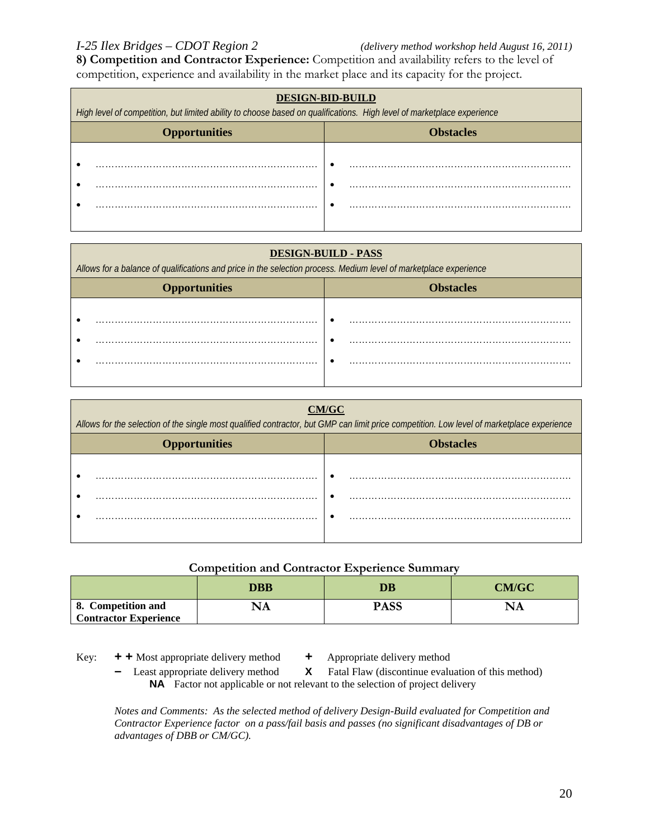**8) Competition and Contractor Experience:** Competition and availability refers to the level of competition, experience and availability in the market place and its capacity for the project.

| <b>DESIGN-BID-BUILD</b>                                                                                                |                  |  |
|------------------------------------------------------------------------------------------------------------------------|------------------|--|
| High level of competition, but limited ability to choose based on qualifications. High level of marketplace experience |                  |  |
| <b>Opportunities</b>                                                                                                   | <b>Obstacles</b> |  |
|                                                                                                                        |                  |  |
|                                                                                                                        |                  |  |
|                                                                                                                        |                  |  |
|                                                                                                                        |                  |  |
|                                                                                                                        |                  |  |

### **DESIGN-BUILD - PASS**

*Allows for a balance of qualifications and price in the selection process. Medium level of marketplace experience*

| <b>Opportunities</b> | <b>Obstacles</b> |
|----------------------|------------------|
|                      |                  |
|                      |                  |
| .                    |                  |
|                      |                  |
|                      |                  |

| CM/GC<br>Allows for the selection of the single most qualified contractor, but GMP can limit price competition. Low level of marketplace experience |                  |  |
|-----------------------------------------------------------------------------------------------------------------------------------------------------|------------------|--|
| <b>Opportunities</b>                                                                                                                                | <b>Obstacles</b> |  |
|                                                                                                                                                     |                  |  |

### **Competition and Contractor Experience Summary**

|                                                    | DBB | DB          | CM/GC |
|----------------------------------------------------|-----|-------------|-------|
| 8. Competition and<br><b>Contractor Experience</b> | NA  | <b>PASS</b> | ' A'L |

- Key: **+ +** Most appropriate delivery method **+** Appropriate delivery method
	- Least appropriate delivery method **X** Fatal Flaw (discontinue evaluation of this method) **NA** Factor not applicable or not relevant to the selection of project delivery

*Notes and Comments: As the selected method of delivery Design-Build evaluated for Competition and Contractor Experience factor on a pass/fail basis and passes (no significant disadvantages of DB or advantages of DBB or CM/GC).*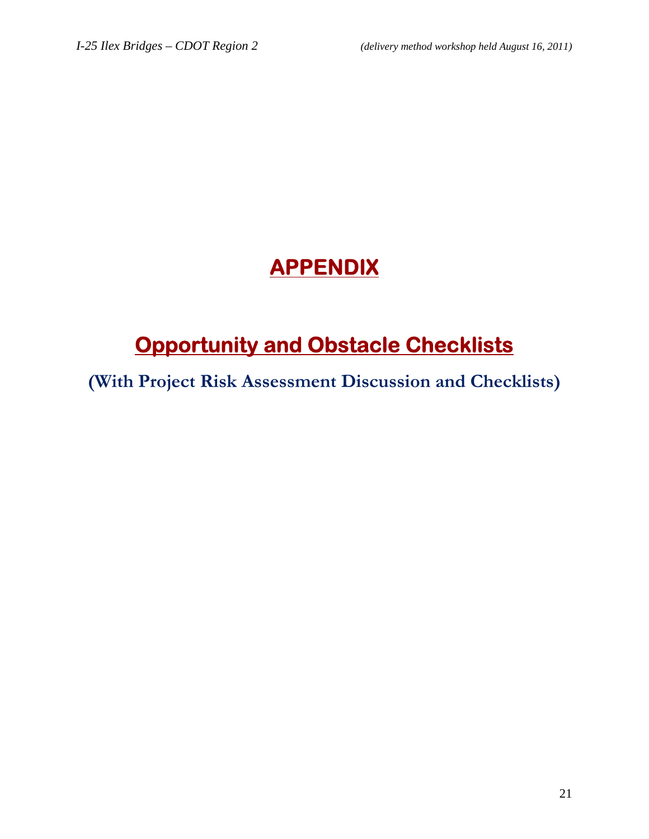# **APPENDIX**

# **Opportunity and Obstacle Checklists**

**(With Project Risk Assessment Discussion and Checklists)**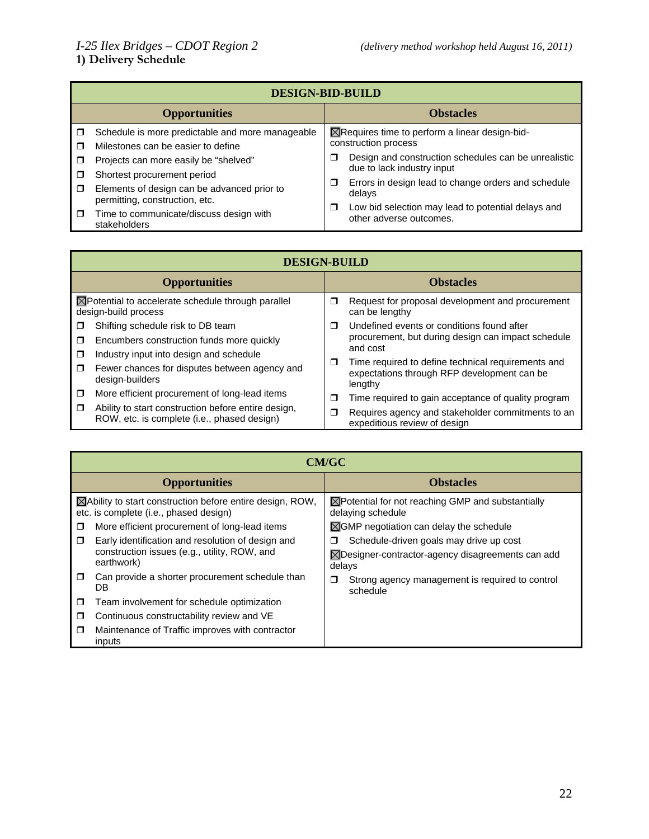|        | <b>DESIGN-BID-BUILD</b>                                                       |   |                                                                               |  |
|--------|-------------------------------------------------------------------------------|---|-------------------------------------------------------------------------------|--|
|        | <b>Opportunities</b>                                                          |   | <b>Obstacles</b>                                                              |  |
| ⊓      | Schedule is more predictable and more manageable                              |   | $\boxtimes$ Requires time to perform a linear design-bid-                     |  |
|        | Milestones can be easier to define                                            |   | construction process                                                          |  |
|        | Projects can more easily be "shelved"                                         | ⊓ | Design and construction schedules can be unrealistic                          |  |
| -10    | Shortest procurement period                                                   |   | due to lack industry input                                                    |  |
| $\Box$ | Elements of design can be advanced prior to<br>permitting, construction, etc. | □ | Errors in design lead to change orders and schedule<br>delays                 |  |
| $\Box$ | Time to communicate/discuss design with<br>stakeholders                       | ⊓ | Low bid selection may lead to potential delays and<br>other adverse outcomes. |  |

|        | <b>DESIGN-BUILD</b>                                                                                |        |                                                                                                              |  |
|--------|----------------------------------------------------------------------------------------------------|--------|--------------------------------------------------------------------------------------------------------------|--|
|        | <b>Opportunities</b>                                                                               |        | <b>Obstacles</b>                                                                                             |  |
|        | $\boxtimes$ Potential to accelerate schedule through parallel<br>design-build process              | □      | Request for proposal development and procurement<br>can be lengthy                                           |  |
| π      | Shifting schedule risk to DB team                                                                  | ⊓      | Undefined events or conditions found after                                                                   |  |
| π      | Encumbers construction funds more quickly                                                          |        | procurement, but during design can impact schedule                                                           |  |
| π      | Industry input into design and schedule                                                            |        | and cost                                                                                                     |  |
| Ω      | Fewer chances for disputes between agency and<br>design-builders                                   | $\Box$ | Time required to define technical requirements and<br>expectations through RFP development can be<br>lengthy |  |
| $\Box$ | More efficient procurement of long-lead items                                                      | $\Box$ | Time required to gain acceptance of quality program                                                          |  |
| $\Box$ | Ability to start construction before entire design,<br>ROW, etc. is complete (i.e., phased design) | Ω      | Requires agency and stakeholder commitments to an<br>expeditious review of design                            |  |

|                      | <b>CM/GC</b>                                                                                                   |                                                                                   |  |  |
|----------------------|----------------------------------------------------------------------------------------------------------------|-----------------------------------------------------------------------------------|--|--|
| <b>Opportunities</b> |                                                                                                                | <b>Obstacles</b>                                                                  |  |  |
|                      | $\boxtimes$ Ability to start construction before entire design, ROW,<br>etc. is complete (i.e., phased design) | $\boxtimes$ Potential for not reaching GMP and substantially<br>delaying schedule |  |  |
| ◘                    | More efficient procurement of long-lead items                                                                  | $\boxtimes$ GMP negotiation can delay the schedule                                |  |  |
| $\Box$               | Early identification and resolution of design and                                                              | Schedule-driven goals may drive up cost<br>□                                      |  |  |
|                      | construction issues (e.g., utility, ROW, and<br>earthwork)                                                     | $\boxtimes$ Designer-contractor-agency disagreements can add<br>delays            |  |  |
| $\Box$               | Can provide a shorter procurement schedule than<br>DB                                                          | Strong agency management is required to control<br>□<br>schedule                  |  |  |
| □                    | Team involvement for schedule optimization                                                                     |                                                                                   |  |  |
| $\Box$               | Continuous constructability review and VE                                                                      |                                                                                   |  |  |
| $\Box$               | Maintenance of Traffic improves with contractor<br>inputs                                                      |                                                                                   |  |  |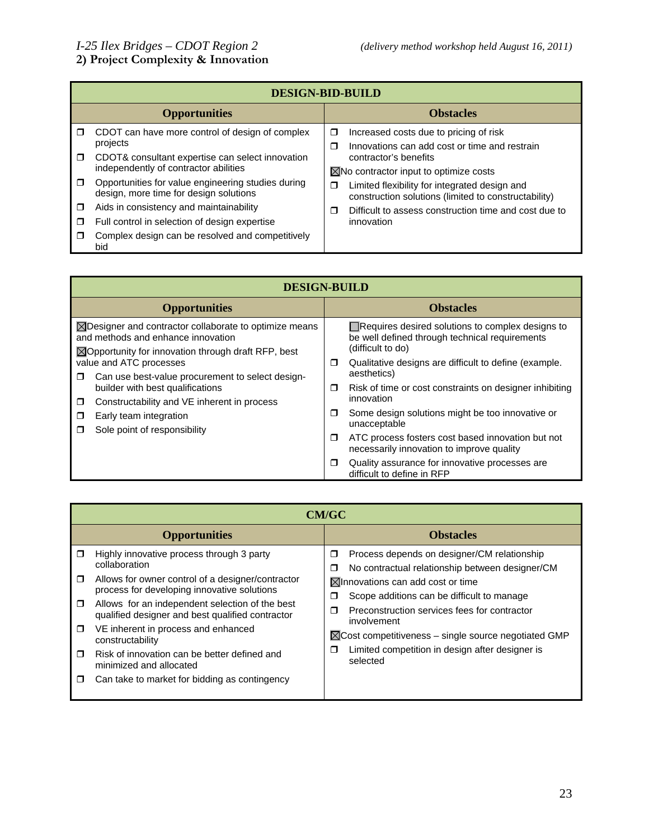### **DESIGN-BID-BUILD Opportunities Obstacles** CDOT can have more control of design of complex projects CDOT& consultant expertise can select innovation independently of contractor abilities  $\Box$  Opportunities for value engineering studies during design, more time for design solutions  $\Box$  Aids in consistency and maintainability Full control in selection of design expertise  $\Box$  Complex design can be resolved and competitively bid  $\Box$  Increased costs due to pricing of risk  $\Box$  Innovations can add cost or time and restrain contractor's benefits  $\boxtimes$ No contractor input to optimize costs □ Limited flexibility for integrated design and construction solutions (limited to constructability) Difficult to assess construction time and cost due to innovation

| <b>DESIGN-BUILD</b>                                                                                                                                                       |                                                                                                                         |  |  |
|---------------------------------------------------------------------------------------------------------------------------------------------------------------------------|-------------------------------------------------------------------------------------------------------------------------|--|--|
| <b>Opportunities</b>                                                                                                                                                      | <b>Obstacles</b>                                                                                                        |  |  |
| $\boxtimes$ Designer and contractor collaborate to optimize means<br>and methods and enhance innovation<br>$\boxtimes$ Opportunity for innovation through draft RFP, best | Requires desired solutions to complex designs to<br>be well defined through technical requirements<br>(difficult to do) |  |  |
| value and ATC processes                                                                                                                                                   | Qualitative designs are difficult to define (example.<br>□<br>aesthetics)                                               |  |  |
| Can use best-value procurement to select design-<br>$\Box$<br>builder with best qualifications<br>Constructability and VE inherent in process<br>$\Box$                   | Risk of time or cost constraints on designer inhibiting<br>□<br>innovation                                              |  |  |
| Early team integration<br>□<br>Sole point of responsibility<br>⊓                                                                                                          | Some design solutions might be too innovative or<br>□<br>unacceptable                                                   |  |  |
|                                                                                                                                                                           | ATC process fosters cost based innovation but not<br>□<br>necessarily innovation to improve quality                     |  |  |
|                                                                                                                                                                           | Quality assurance for innovative processes are<br>⊓<br>difficult to define in RFP                                       |  |  |

|                                                |                                                                                                                                                                                                                                                                                                                                                                                                                                                              | <b>CM/GC</b>                                                                                                                                                                                                                                                                                                                                                                                                                |
|------------------------------------------------|--------------------------------------------------------------------------------------------------------------------------------------------------------------------------------------------------------------------------------------------------------------------------------------------------------------------------------------------------------------------------------------------------------------------------------------------------------------|-----------------------------------------------------------------------------------------------------------------------------------------------------------------------------------------------------------------------------------------------------------------------------------------------------------------------------------------------------------------------------------------------------------------------------|
|                                                | <b>Opportunities</b>                                                                                                                                                                                                                                                                                                                                                                                                                                         | <b>Obstacles</b>                                                                                                                                                                                                                                                                                                                                                                                                            |
| Ω<br>$\Box$<br>$\Box$<br>$\Box$<br>$\Box$<br>□ | Highly innovative process through 3 party<br>collaboration<br>Allows for owner control of a designer/contractor<br>process for developing innovative solutions<br>Allows for an independent selection of the best<br>qualified designer and best qualified contractor<br>VE inherent in process and enhanced<br>constructability<br>Risk of innovation can be better defined and<br>minimized and allocated<br>Can take to market for bidding as contingency | Process depends on designer/CM relationship<br>Ω<br>No contractual relationship between designer/CM<br>⊓<br>$\boxtimes$ Innovations can add cost or time<br>⊓<br>Scope additions can be difficult to manage<br>Preconstruction services fees for contractor<br>$\Box$<br>involvement<br>$\boxtimes$ Cost competitiveness – single source negotiated GMP<br>Limited competition in design after designer is<br>⊓<br>selected |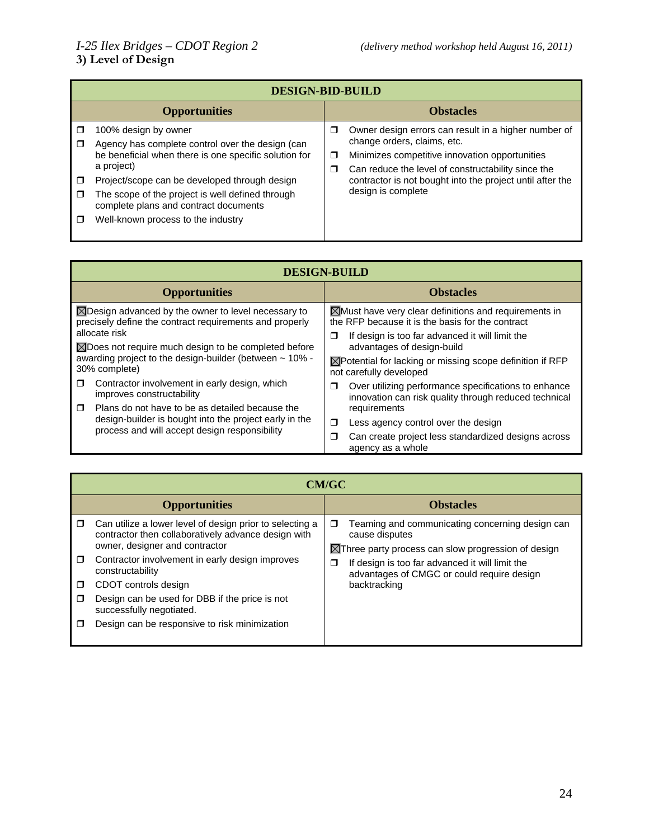|             | <b>DESIGN-BID-BUILD</b>                                                                                                                                                                                                                                                                                                             |             |                                                                                                                                                                                                                                                                                |  |
|-------------|-------------------------------------------------------------------------------------------------------------------------------------------------------------------------------------------------------------------------------------------------------------------------------------------------------------------------------------|-------------|--------------------------------------------------------------------------------------------------------------------------------------------------------------------------------------------------------------------------------------------------------------------------------|--|
|             | <b>Opportunities</b>                                                                                                                                                                                                                                                                                                                |             | <b>Obstacles</b>                                                                                                                                                                                                                                                               |  |
| □<br>□<br>□ | 100% design by owner<br>Agency has complete control over the design (can<br>be beneficial when there is one specific solution for<br>a project)<br>Project/scope can be developed through design<br>The scope of the project is well defined through<br>complete plans and contract documents<br>Well-known process to the industry | □<br>□<br>σ | Owner design errors can result in a higher number of<br>change orders, claims, etc.<br>Minimizes competitive innovation opportunities<br>Can reduce the level of constructability since the<br>contractor is not bought into the project until after the<br>design is complete |  |

| <b>DESIGN-BUILD</b>                                                                                                       |                                                                                                                      |  |  |
|---------------------------------------------------------------------------------------------------------------------------|----------------------------------------------------------------------------------------------------------------------|--|--|
| <b>Opportunities</b>                                                                                                      | <b>Obstacles</b>                                                                                                     |  |  |
| $\boxtimes$ Design advanced by the owner to level necessary to<br>precisely define the contract requirements and properly | $\boxtimes$ Must have very clear definitions and requirements in<br>the RFP because it is the basis for the contract |  |  |
| allocate risk<br>⊠Does not require much design to be completed before                                                     | If design is too far advanced it will limit the<br>□<br>advantages of design-build                                   |  |  |
| awarding project to the design-builder (between $\sim$ 10% -<br>30% complete)                                             | $\boxtimes$ Potential for lacking or missing scope definition if RFP<br>not carefully developed                      |  |  |
| Contractor involvement in early design, which<br>$\Box$<br>improves constructability                                      | Over utilizing performance specifications to enhance<br>□<br>innovation can risk quality through reduced technical   |  |  |
| $\Box$<br>Plans do not have to be as detailed because the                                                                 | requirements                                                                                                         |  |  |
| design-builder is bought into the project early in the<br>process and will accept design responsibility                   | Less agency control over the design<br>π                                                                             |  |  |
|                                                                                                                           | Can create project less standardized designs across<br>⊓<br>agency as a whole                                        |  |  |

|   | <b>CM/GC</b>                                                                                                                                      |   |                                                                                                                                     |  |
|---|---------------------------------------------------------------------------------------------------------------------------------------------------|---|-------------------------------------------------------------------------------------------------------------------------------------|--|
|   | <b>Opportunities</b>                                                                                                                              |   | <b>Obstacles</b>                                                                                                                    |  |
| □ | Can utilize a lower level of design prior to selecting a<br>contractor then collaboratively advance design with<br>owner, designer and contractor | □ | Teaming and communicating concerning design can<br>cause disputes<br>$\boxtimes$ Three party process can slow progression of design |  |
| □ | Contractor involvement in early design improves<br>constructability                                                                               | Π | If design is too far advanced it will limit the<br>advantages of CMGC or could require design                                       |  |
| □ | CDOT controls design                                                                                                                              |   | backtracking                                                                                                                        |  |
|   | Design can be used for DBB if the price is not<br>successfully negotiated.                                                                        |   |                                                                                                                                     |  |
|   | Design can be responsive to risk minimization                                                                                                     |   |                                                                                                                                     |  |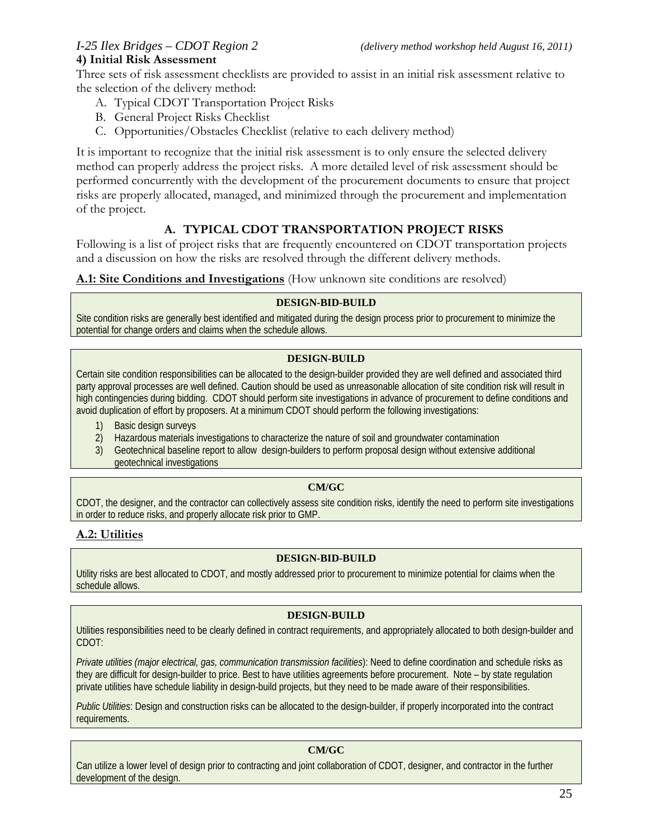# **4) Initial Risk Assessment**

Three sets of risk assessment checklists are provided to assist in an initial risk assessment relative to the selection of the delivery method:

- A. Typical CDOT Transportation Project Risks
- B. General Project Risks Checklist
- C. Opportunities/Obstacles Checklist (relative to each delivery method)

It is important to recognize that the initial risk assessment is to only ensure the selected delivery method can properly address the project risks. A more detailed level of risk assessment should be performed concurrently with the development of the procurement documents to ensure that project risks are properly allocated, managed, and minimized through the procurement and implementation of the project.

# **A. TYPICAL CDOT TRANSPORTATION PROJECT RISKS**

Following is a list of project risks that are frequently encountered on CDOT transportation projects and a discussion on how the risks are resolved through the different delivery methods.

### **A.1: Site Conditions and Investigations** (How unknown site conditions are resolved)

### **DESIGN-BID-BUILD**

Site condition risks are generally best identified and mitigated during the design process prior to procurement to minimize the potential for change orders and claims when the schedule allows.

### **DESIGN-BUILD**

Certain site condition responsibilities can be allocated to the design-builder provided they are well defined and associated third party approval processes are well defined. Caution should be used as unreasonable allocation of site condition risk will result in high contingencies during bidding. CDOT should perform site investigations in advance of procurement to define conditions and avoid duplication of effort by proposers. At a minimum CDOT should perform the following investigations:

- 1) Basic design surveys
- 2) Hazardous materials investigations to characterize the nature of soil and groundwater contamination
- 3) Geotechnical baseline report to allow design-builders to perform proposal design without extensive additional geotechnical investigations

### **CM/GC**

CDOT, the designer, and the contractor can collectively assess site condition risks, identify the need to perform site investigations in order to reduce risks, and properly allocate risk prior to GMP.

# **A.2: Utilities**

### **DESIGN-BID-BUILD**

Utility risks are best allocated to CDOT, and mostly addressed prior to procurement to minimize potential for claims when the schedule allows.

### **DESIGN-BUILD**

Utilities responsibilities need to be clearly defined in contract requirements, and appropriately allocated to both design-builder and CDOT:

*Private utilities (major electrical, gas, communication transmission facilities*): Need to define coordination and schedule risks as they are difficult for design-builder to price. Best to have utilities agreements before procurement. Note – by state regulation private utilities have schedule liability in design-build projects, but they need to be made aware of their responsibilities.

*Public Utilities*: Design and construction risks can be allocated to the design-builder, if properly incorporated into the contract requirements.

### **CM/GC**

Can utilize a lower level of design prior to contracting and joint collaboration of CDOT, designer, and contractor in the further development of the design.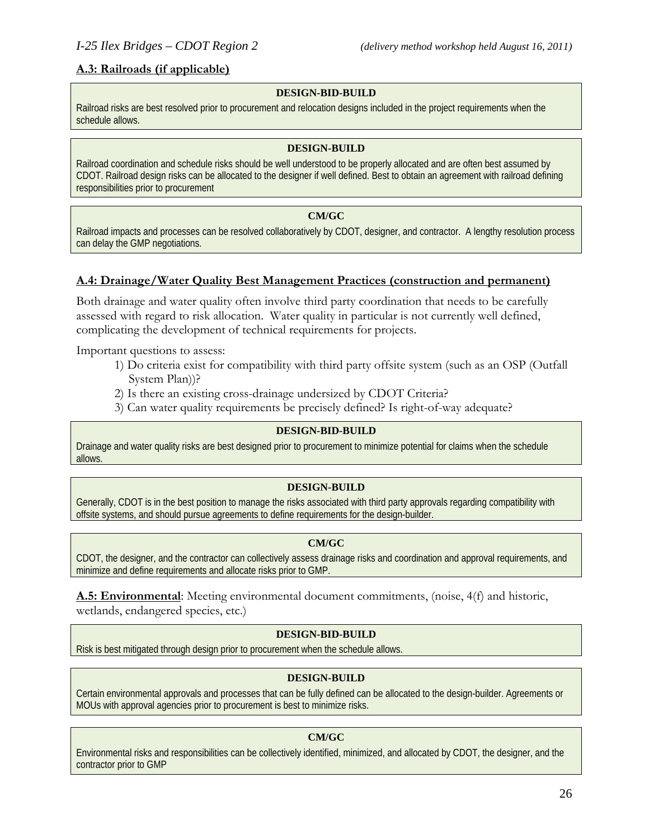### **A.3: Railroads (if applicable)**

### **DESIGN-BID-BUILD**

Railroad risks are best resolved prior to procurement and relocation designs included in the project requirements when the schedule allows.

### **DESIGN-BUILD**

Railroad coordination and schedule risks should be well understood to be properly allocated and are often best assumed by CDOT. Railroad design risks can be allocated to the designer if well defined. Best to obtain an agreement with railroad defining responsibilities prior to procurement

### **CM/GC**

Railroad impacts and processes can be resolved collaboratively by CDOT, designer, and contractor. A lengthy resolution process can delay the GMP negotiations.

### **A.4: Drainage/Water Quality Best Management Practices (construction and permanent)**

Both drainage and water quality often involve third party coordination that needs to be carefully assessed with regard to risk allocation. Water quality in particular is not currently well defined, complicating the development of technical requirements for projects.

Important questions to assess:

- 1) Do criteria exist for compatibility with third party offsite system (such as an OSP (Outfall System Plan))?
- 2) Is there an existing cross-drainage undersized by CDOT Criteria?
- 3) Can water quality requirements be precisely defined? Is right-of-way adequate?

### **DESIGN-BID-BUILD**

Drainage and water quality risks are best designed prior to procurement to minimize potential for claims when the schedule allows.

### **DESIGN-BUILD**

Generally, CDOT is in the best position to manage the risks associated with third party approvals regarding compatibility with offsite systems, and should pursue agreements to define requirements for the design-builder.

### **CM/GC**

CDOT, the designer, and the contractor can collectively assess drainage risks and coordination and approval requirements, and minimize and define requirements and allocate risks prior to GMP.

**A.5: Environmental**: Meeting environmental document commitments, (noise, 4(f) and historic, wetlands, endangered species, etc.)

### **DESIGN-BID-BUILD**

Risk is best mitigated through design prior to procurement when the schedule allows.

### **DESIGN-BUILD**

Certain environmental approvals and processes that can be fully defined can be allocated to the design-builder. Agreements or MOUs with approval agencies prior to procurement is best to minimize risks.

### **CM/GC**

Environmental risks and responsibilities can be collectively identified, minimized, and allocated by CDOT, the designer, and the contractor prior to GMP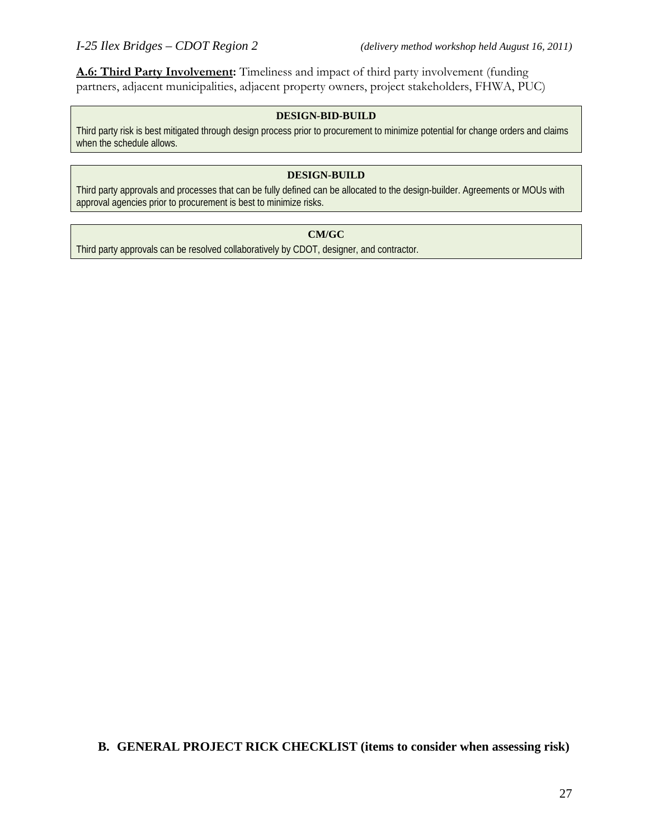**A.6: Third Party Involvement:** Timeliness and impact of third party involvement (funding partners, adjacent municipalities, adjacent property owners, project stakeholders, FHWA, PUC)

### **DESIGN-BID-BUILD**

Third party risk is best mitigated through design process prior to procurement to minimize potential for change orders and claims when the schedule allows.

### **DESIGN-BUILD**

Third party approvals and processes that can be fully defined can be allocated to the design-builder. Agreements or MOUs with approval agencies prior to procurement is best to minimize risks.

### **CM/GC**

Third party approvals can be resolved collaboratively by CDOT, designer, and contractor.

**B. GENERAL PROJECT RICK CHECKLIST (items to consider when assessing risk)**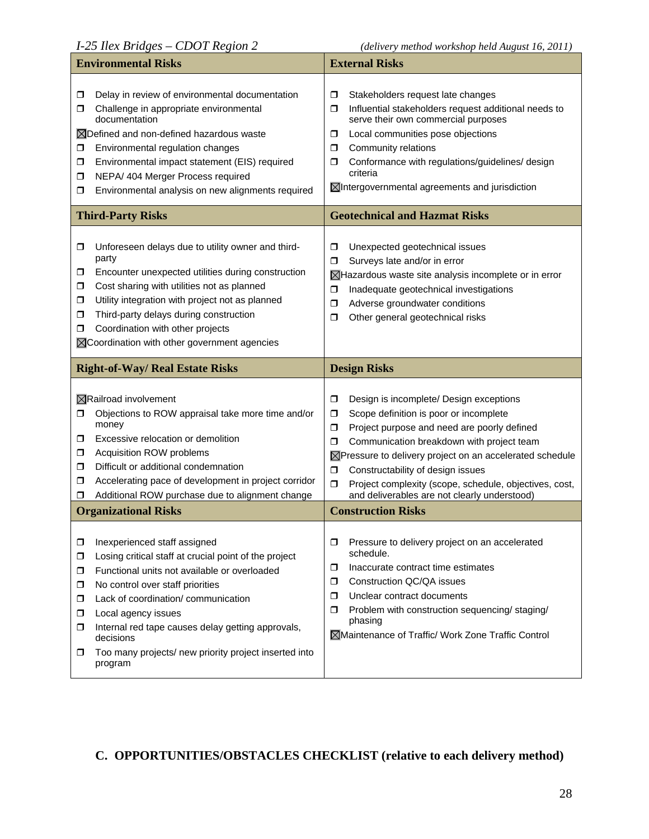|                            | <b>Environmental Risks</b>                                                                                                                                                                                                                                                                                                                      | <b>External Risks</b>                                                                                                                                                                                                                                                                                                                                                            |  |
|----------------------------|-------------------------------------------------------------------------------------------------------------------------------------------------------------------------------------------------------------------------------------------------------------------------------------------------------------------------------------------------|----------------------------------------------------------------------------------------------------------------------------------------------------------------------------------------------------------------------------------------------------------------------------------------------------------------------------------------------------------------------------------|--|
| σ<br>◘<br>◻<br>◻<br>◘<br>◻ | Delay in review of environmental documentation<br>Challenge in appropriate environmental<br>documentation<br>⊠Defined and non-defined hazardous waste<br>Environmental regulation changes<br>Environmental impact statement (EIS) required<br>NEPA/ 404 Merger Process required<br>Environmental analysis on new alignments required            | Stakeholders request late changes<br>◘<br>Influential stakeholders request additional needs to<br>σ<br>serve their own commercial purposes<br>Local communities pose objections<br>σ<br>Community relations<br>σ<br>Conformance with regulations/guidelines/ design<br>σ<br>criteria<br>$\boxtimes$ Intergovernmental agreements and jurisdiction                                |  |
|                            | <b>Third-Party Risks</b>                                                                                                                                                                                                                                                                                                                        | <b>Geotechnical and Hazmat Risks</b>                                                                                                                                                                                                                                                                                                                                             |  |
| ◘<br>0<br>◻<br>◘<br>◘<br>◻ | Unforeseen delays due to utility owner and third-<br>party<br>Encounter unexpected utilities during construction<br>Cost sharing with utilities not as planned<br>Utility integration with project not as planned<br>Third-party delays during construction<br>Coordination with other projects<br>⊠Coordination with other government agencies | Unexpected geotechnical issues<br>σ<br>Surveys late and/or in error<br>σ<br>$\boxtimes$ Hazardous waste site analysis incomplete or in error<br>Inadequate geotechnical investigations<br>σ<br>Adverse groundwater conditions<br>σ<br>Other general geotechnical risks<br>σ                                                                                                      |  |
|                            | <b>Right-of-Way/ Real Estate Risks</b>                                                                                                                                                                                                                                                                                                          | <b>Design Risks</b>                                                                                                                                                                                                                                                                                                                                                              |  |
|                            | $\boxtimes$ Railroad involvement                                                                                                                                                                                                                                                                                                                | Design is incomplete/ Design exceptions<br>σ                                                                                                                                                                                                                                                                                                                                     |  |
| ◘<br>0<br>◻<br>◻<br>□<br>◻ | Objections to ROW appraisal take more time and/or<br>money<br>Excessive relocation or demolition<br>Acquisition ROW problems<br>Difficult or additional condemnation<br>Accelerating pace of development in project corridor<br>Additional ROW purchase due to alignment change                                                                 | Scope definition is poor or incomplete<br>◘<br>σ<br>Project purpose and need are poorly defined<br>Communication breakdown with project team<br>σ<br>⊠Pressure to delivery project on an accelerated schedule<br>Constructability of design issues<br>$\Box$<br>$\Box$<br>Project complexity (scope, schedule, objectives, cost,<br>and deliverables are not clearly understood) |  |
|                            | <b>Organizational Risks</b>                                                                                                                                                                                                                                                                                                                     | <b>Construction Risks</b>                                                                                                                                                                                                                                                                                                                                                        |  |

# **C. OPPORTUNITIES/OBSTACLES CHECKLIST (relative to each delivery method)**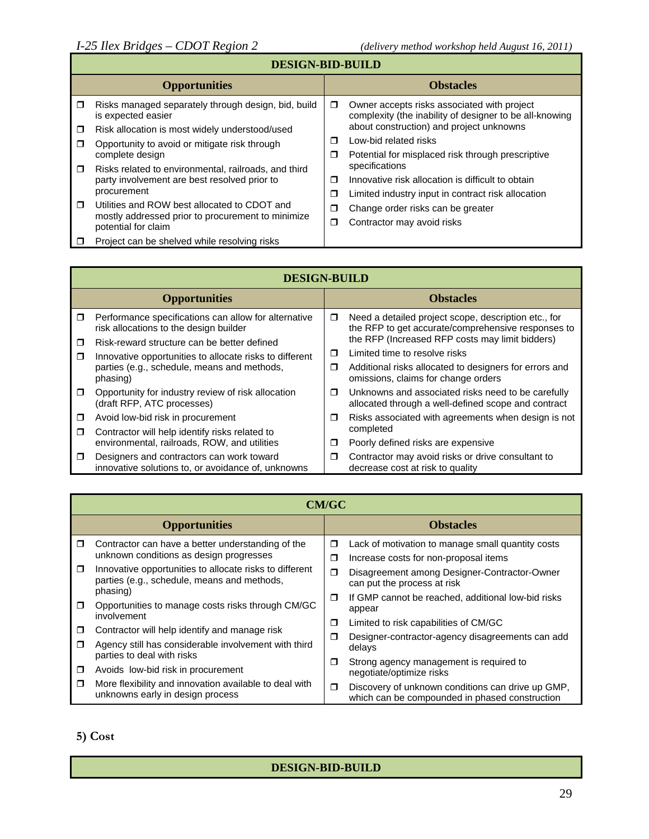# **DESIGN-BID-BUILD**

|        | <b>Opportunities</b>                                                      |        | <b>Obstacles</b>                                                                                       |
|--------|---------------------------------------------------------------------------|--------|--------------------------------------------------------------------------------------------------------|
|        | Risks managed separately through design, bid, build<br>is expected easier | $\Box$ | Owner accepts risks associated with project<br>complexity (the inability of designer to be all-knowing |
|        | Risk allocation is most widely understood/used                            |        | about construction) and project unknowns                                                               |
| П      | Opportunity to avoid or mitigate risk through                             | ⊓      | Low-bid related risks                                                                                  |
|        | complete design                                                           | σ      | Potential for misplaced risk through prescriptive                                                      |
| ⊓      | Risks related to environmental, railroads, and third                      |        | specifications                                                                                         |
|        | party involvement are best resolved prior to                              | ⊓      | Innovative risk allocation is difficult to obtain                                                      |
|        | procurement                                                               | σ      | Limited industry input in contract risk allocation                                                     |
| $\Box$ | Utilities and ROW best allocated to CDOT and                              | ◘      | Change order risks can be greater                                                                      |
|        | mostly addressed prior to procurement to minimize<br>potential for claim  | ◘      | Contractor may avoid risks                                                                             |
|        | Project can be shelved while resolving risks                              |        |                                                                                                        |

|        | <b>DESIGN-BUILD</b>                                                                             |        |                                                                                                            |  |
|--------|-------------------------------------------------------------------------------------------------|--------|------------------------------------------------------------------------------------------------------------|--|
|        | <b>Opportunities</b>                                                                            |        | <b>Obstacles</b>                                                                                           |  |
| $\Box$ | Performance specifications can allow for alternative<br>risk allocations to the design builder  | $\Box$ | Need a detailed project scope, description etc., for<br>the RFP to get accurate/comprehensive responses to |  |
| П      | Risk-reward structure can be better defined                                                     |        | the RFP (Increased RFP costs may limit bidders)                                                            |  |
| $\Box$ | Innovative opportunities to allocate risks to different                                         | $\Box$ | Limited time to resolve risks                                                                              |  |
|        | parties (e.g., schedule, means and methods,<br>phasing)                                         | $\Box$ | Additional risks allocated to designers for errors and<br>omissions, claims for change orders              |  |
| $\Box$ | Opportunity for industry review of risk allocation<br>(draft RFP, ATC processes)                | $\Box$ | Unknowns and associated risks need to be carefully<br>allocated through a well-defined scope and contract  |  |
| $\Box$ | Avoid low-bid risk in procurement                                                               | $\Box$ | Risks associated with agreements when design is not                                                        |  |
| $\Box$ | Contractor will help identify risks related to                                                  |        | completed                                                                                                  |  |
|        | environmental, railroads, ROW, and utilities                                                    | $\Box$ | Poorly defined risks are expensive                                                                         |  |
| $\Box$ | Designers and contractors can work toward<br>innovative solutions to, or avoidance of, unknowns | $\Box$ | Contractor may avoid risks or drive consultant to<br>decrease cost at risk to quality                      |  |

|        | <b>CM/GC</b>                                                                                                       |        |                                                                                                     |  |
|--------|--------------------------------------------------------------------------------------------------------------------|--------|-----------------------------------------------------------------------------------------------------|--|
|        | <b>Opportunities</b>                                                                                               |        | <b>Obstacles</b>                                                                                    |  |
| $\Box$ | Contractor can have a better understanding of the<br>unknown conditions as design progresses                       | σ<br>σ | Lack of motivation to manage small quantity costs<br>Increase costs for non-proposal items          |  |
| $\Box$ | Innovative opportunities to allocate risks to different<br>parties (e.g., schedule, means and methods,<br>phasing) | $\Box$ | Disagreement among Designer-Contractor-Owner<br>can put the process at risk                         |  |
| $\Box$ | Opportunities to manage costs risks through CM/GC<br>involvement                                                   | ◘      | If GMP cannot be reached, additional low-bid risks<br>appear                                        |  |
| $\Box$ | Contractor will help identify and manage risk                                                                      | Π      | Limited to risk capabilities of CM/GC                                                               |  |
| ◘      | Agency still has considerable involvement with third<br>parties to deal with risks                                 | □      | Designer-contractor-agency disagreements can add<br>delays                                          |  |
| □      | Avoids low-bid risk in procurement                                                                                 | σ      | Strong agency management is required to<br>negotiate/optimize risks                                 |  |
| ◘      | More flexibility and innovation available to deal with<br>unknowns early in design process                         | ◘      | Discovery of unknown conditions can drive up GMP,<br>which can be compounded in phased construction |  |

**5) Cost** 

### **DESIGN-BID-BUILD**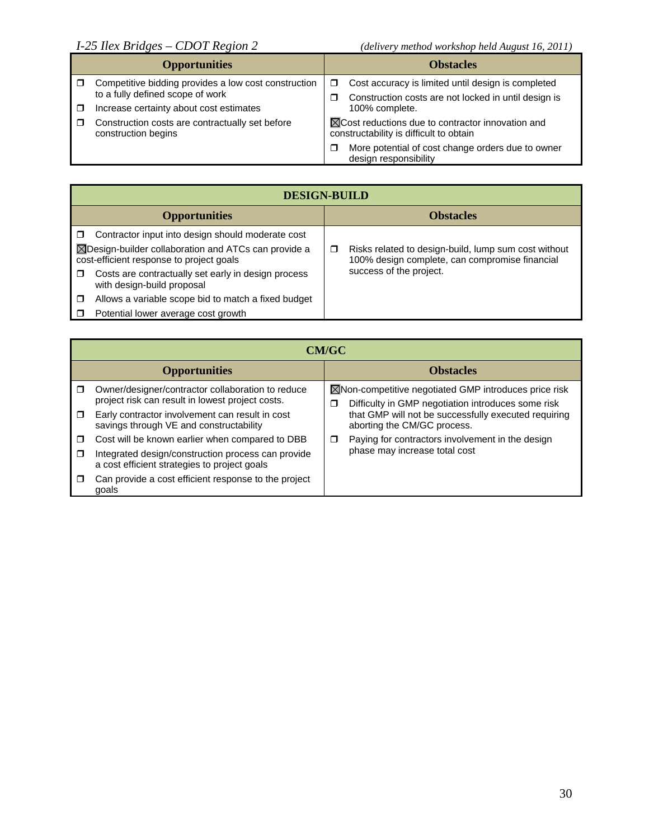| <b>Opportunities</b>                                                                                                                | <b>Obstacles</b>                                                                                                                                             |
|-------------------------------------------------------------------------------------------------------------------------------------|--------------------------------------------------------------------------------------------------------------------------------------------------------------|
| Competitive bidding provides a low cost construction<br>to a fully defined scope of work<br>Increase certainty about cost estimates | Cost accuracy is limited until design is completed<br>$\Box$<br>Construction costs are not locked in until design is<br>100% complete.                       |
| Construction costs are contractually set before<br>construction begins                                                              | $\boxtimes$ Cost reductions due to contractor innovation and<br>constructability is difficult to obtain<br>More potential of cost change orders due to owner |
|                                                                                                                                     | design responsibility                                                                                                                                        |

| <b>DESIGN-BUILD</b>                                                                                                                                                                                                                                                                                                                                                 |                                                                                                                                        |  |  |
|---------------------------------------------------------------------------------------------------------------------------------------------------------------------------------------------------------------------------------------------------------------------------------------------------------------------------------------------------------------------|----------------------------------------------------------------------------------------------------------------------------------------|--|--|
| <b>Opportunities</b>                                                                                                                                                                                                                                                                                                                                                | <b>Obstacles</b>                                                                                                                       |  |  |
| Contractor input into design should moderate cost<br>Π.<br>$\boxtimes$ Design-builder collaboration and ATCs can provide a<br>cost-efficient response to project goals<br>Costs are contractually set early in design process<br>□<br>with design-build proposal<br>Allows a variable scope bid to match a fixed budget<br>□<br>Potential lower average cost growth | Risks related to design-build, lump sum cost without<br>◻<br>100% design complete, can compromise financial<br>success of the project. |  |  |

|        | <b>CM/GC</b>                                                                                          |   |                                                                                                             |                               |                                                  |
|--------|-------------------------------------------------------------------------------------------------------|---|-------------------------------------------------------------------------------------------------------------|-------------------------------|--------------------------------------------------|
|        | <b>Opportunities</b>                                                                                  |   | <b>Obstacles</b>                                                                                            |                               |                                                  |
|        | Owner/designer/contractor collaboration to reduce<br>project risk can result in lowest project costs. | □ | ⊠Non-competitive negotiated GMP introduces price risk<br>Difficulty in GMP negotiation introduces some risk |                               |                                                  |
| $\Box$ | Early contractor involvement can result in cost<br>savings through VE and constructability            |   | that GMP will not be successfully executed requiring<br>aborting the CM/GC process.                         |                               |                                                  |
| $\Box$ | Cost will be known earlier when compared to DBB                                                       | □ |                                                                                                             |                               | Paying for contractors involvement in the design |
| $\Box$ | Integrated design/construction process can provide<br>a cost efficient strategies to project goals    |   |                                                                                                             | phase may increase total cost |                                                  |
|        | Can provide a cost efficient response to the project<br>qoals                                         |   |                                                                                                             |                               |                                                  |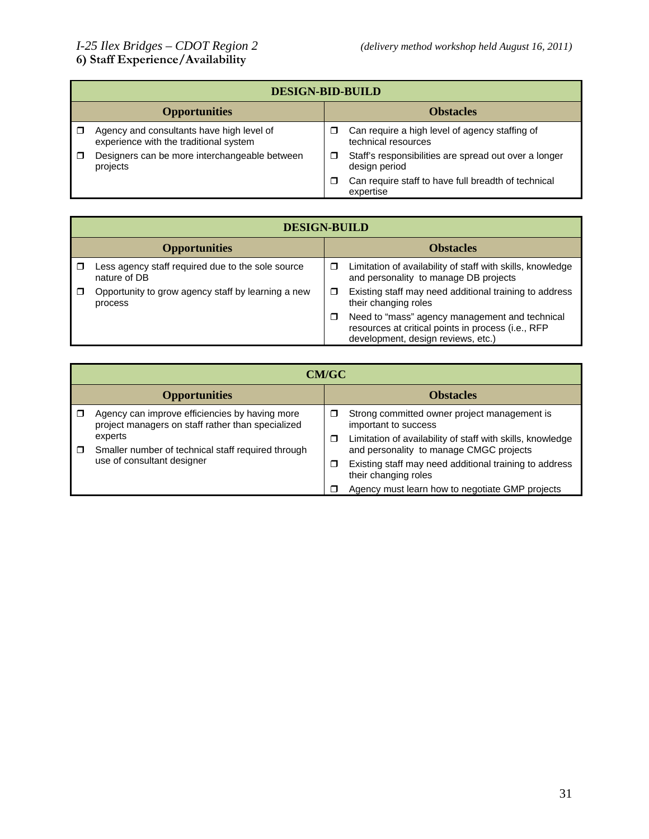|                      | <b>DESIGN-BID-BUILD</b>                                                             |                  |                                                                        |  |
|----------------------|-------------------------------------------------------------------------------------|------------------|------------------------------------------------------------------------|--|
| <b>Opportunities</b> |                                                                                     | <b>Obstacles</b> |                                                                        |  |
|                      | Agency and consultants have high level of<br>experience with the traditional system |                  | Can require a high level of agency staffing of<br>technical resources  |  |
|                      | Designers can be more interchangeable between<br>projects                           | □                | Staff's responsibilities are spread out over a longer<br>design period |  |
|                      |                                                                                     | ⊓                | Can require staff to have full breadth of technical<br>expertise       |  |

|                      | <b>DESIGN-BUILD</b>                                               |                  |                                                                                                                                            |  |  |
|----------------------|-------------------------------------------------------------------|------------------|--------------------------------------------------------------------------------------------------------------------------------------------|--|--|
| <b>Opportunities</b> |                                                                   | <b>Obstacles</b> |                                                                                                                                            |  |  |
|                      | Less agency staff required due to the sole source<br>nature of DB | □                | Limitation of availability of staff with skills, knowledge<br>and personality to manage DB projects                                        |  |  |
|                      | Opportunity to grow agency staff by learning a new<br>process     | □                | Existing staff may need additional training to address<br>their changing roles                                                             |  |  |
|                      |                                                                   | □                | Need to "mass" agency management and technical<br>resources at critical points in process (i.e., RFP<br>development, design reviews, etc.) |  |  |

|                      | <b>CM/GC</b>                                                                                        |        |                                                                                                       |  |  |
|----------------------|-----------------------------------------------------------------------------------------------------|--------|-------------------------------------------------------------------------------------------------------|--|--|
| <b>Opportunities</b> |                                                                                                     |        | <b>Obstacles</b>                                                                                      |  |  |
|                      | Agency can improve efficiencies by having more<br>project managers on staff rather than specialized | □      | Strong committed owner project management is<br>important to success                                  |  |  |
| $\Box$               | experts<br>Smaller number of technical staff required through<br>use of consultant designer         | $\Box$ | Limitation of availability of staff with skills, knowledge<br>and personality to manage CMGC projects |  |  |
|                      |                                                                                                     | Ω      | Existing staff may need additional training to address<br>their changing roles                        |  |  |
|                      |                                                                                                     |        | Agency must learn how to negotiate GMP projects                                                       |  |  |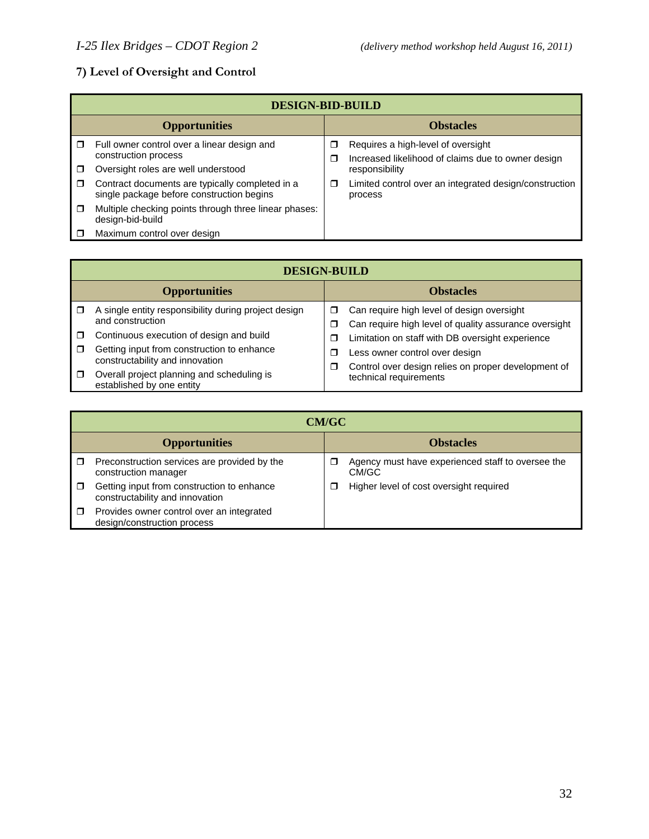# **7) Level of Oversight and Control**

|        | <b>DESIGN-BID-BUILD</b>                                                                      |        |                                                                                          |  |  |
|--------|----------------------------------------------------------------------------------------------|--------|------------------------------------------------------------------------------------------|--|--|
|        | <b>Opportunities</b>                                                                         |        | <b>Obstacles</b>                                                                         |  |  |
|        | Full owner control over a linear design and<br>construction process                          | □<br>□ | Requires a high-level of oversight<br>Increased likelihood of claims due to owner design |  |  |
|        | Oversight roles are well understood                                                          |        | responsibility                                                                           |  |  |
| $\Box$ | Contract documents are typically completed in a<br>single package before construction begins | □      | Limited control over an integrated design/construction<br>process                        |  |  |
| $\Box$ | Multiple checking points through three linear phases:<br>design-bid-build                    |        |                                                                                          |  |  |
|        | Maximum control over design                                                                  |        |                                                                                          |  |  |

|        | <b>DESIGN-BUILD</b>                                                                    |             |                                                                                                     |  |  |
|--------|----------------------------------------------------------------------------------------|-------------|-----------------------------------------------------------------------------------------------------|--|--|
|        | <b>Opportunities</b>                                                                   |             | <b>Obstacles</b>                                                                                    |  |  |
|        | A single entity responsibility during project design<br>and construction               | □<br>σ      | Can require high level of design oversight<br>Can require high level of quality assurance oversight |  |  |
| $\Box$ | Continuous execution of design and build<br>Getting input from construction to enhance | ⊓<br>⊓<br>□ | Limitation on staff with DB oversight experience                                                    |  |  |
|        | constructability and innovation                                                        |             | Less owner control over design<br>Control over design relies on proper development of               |  |  |
| $\Box$ | Overall project planning and scheduling is<br>established by one entity                |             | technical requirements                                                                              |  |  |

|                      | <b>CM/GC</b>                                                                  |                  |                                                            |  |  |
|----------------------|-------------------------------------------------------------------------------|------------------|------------------------------------------------------------|--|--|
| <b>Opportunities</b> |                                                                               | <b>Obstacles</b> |                                                            |  |  |
|                      | Preconstruction services are provided by the<br>construction manager          |                  | Agency must have experienced staff to oversee the<br>CM/GC |  |  |
|                      | Getting input from construction to enhance<br>constructability and innovation |                  | Higher level of cost oversight required                    |  |  |
| $\Box$               | Provides owner control over an integrated<br>design/construction process      |                  |                                                            |  |  |